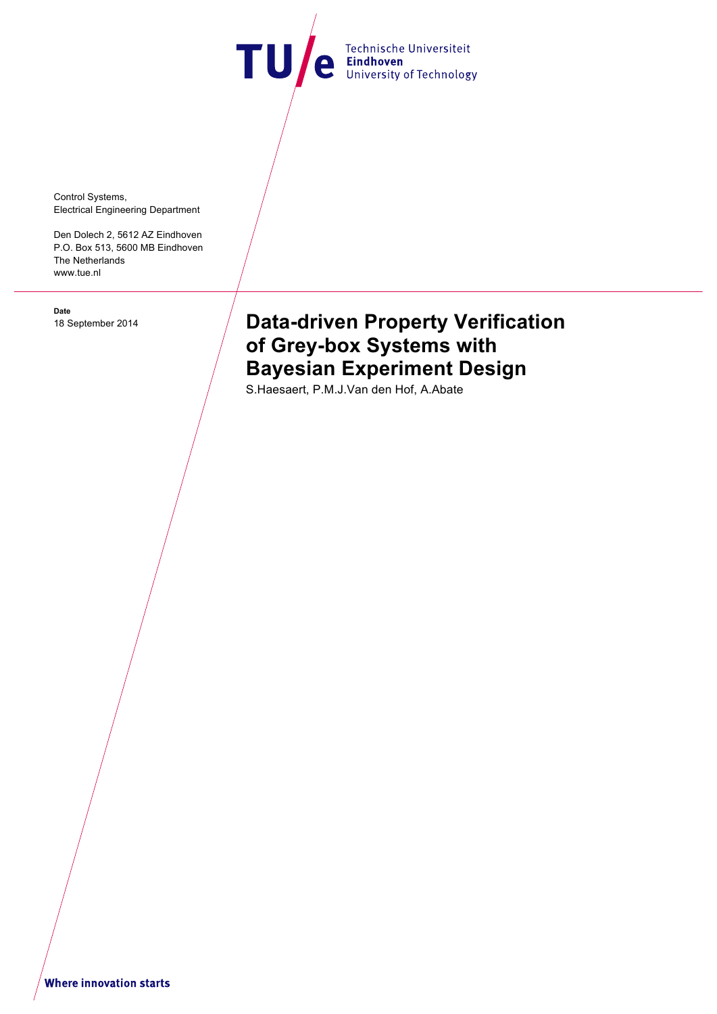TU e Technische Universiteit

Control Systems, Electrical Engineering Department

Den Dolech 2, 5612 AZ Eindhoven P.O. Box 513, 5600 MB Eindhoven The Netherlands www.tue.nl

**Date**

# 18 September 2014 **Data-driven Property Verification of Grey-box Systems with Bayesian Experiment Design**

S.Haesaert, P.M.J.Van den Hof, A.Abate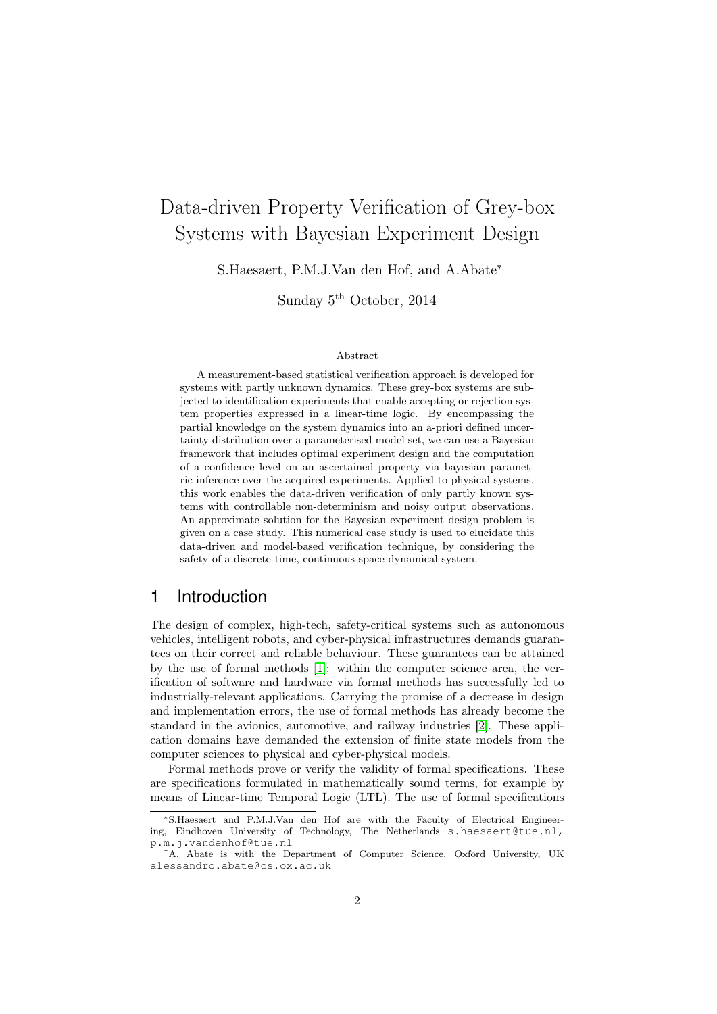# Data-driven Property Verification of Grey-box Systems with Bayesian Experiment Design

S.Haesaert, P.M.J.Van den Hof, and A.Abate<sup>†</sup>

Sunday 5<sup>th</sup> October, 2014

#### Abstract

A measurement-based statistical verification approach is developed for systems with partly unknown dynamics. These grey-box systems are subjected to identification experiments that enable accepting or rejection system properties expressed in a linear-time logic. By encompassing the partial knowledge on the system dynamics into an a-priori defined uncertainty distribution over a parameterised model set, we can use a Bayesian framework that includes optimal experiment design and the computation of a confidence level on an ascertained property via bayesian parametric inference over the acquired experiments. Applied to physical systems, this work enables the data-driven verification of only partly known systems with controllable non-determinism and noisy output observations. An approximate solution for the Bayesian experiment design problem is given on a case study. This numerical case study is used to elucidate this data-driven and model-based verification technique, by considering the safety of a discrete-time, continuous-space dynamical system.

## 1 Introduction

The design of complex, high-tech, safety-critical systems such as autonomous vehicles, intelligent robots, and cyber-physical infrastructures demands guarantees on their correct and reliable behaviour. These guarantees can be attained by the use of formal methods [\[1\]](#page-15-0): within the computer science area, the verification of software and hardware via formal methods has successfully led to industrially-relevant applications. Carrying the promise of a decrease in design and implementation errors, the use of formal methods has already become the standard in the avionics, automotive, and railway industries [\[2\]](#page-15-1). These application domains have demanded the extension of finite state models from the computer sciences to physical and cyber-physical models.

Formal methods prove or verify the validity of formal specifications. These are specifications formulated in mathematically sound terms, for example by means of Linear-time Temporal Logic (LTL). The use of formal specifications

<sup>∗</sup>S.Haesaert and P.M.J.Van den Hof are with the Faculty of Electrical Engineering, Eindhoven University of Technology, The Netherlands s.haesaert@tue.nl, p.m.j.vandenhof@tue.nl

<sup>†</sup>A. Abate is with the Department of Computer Science, Oxford University, UK alessandro.abate@cs.ox.ac.uk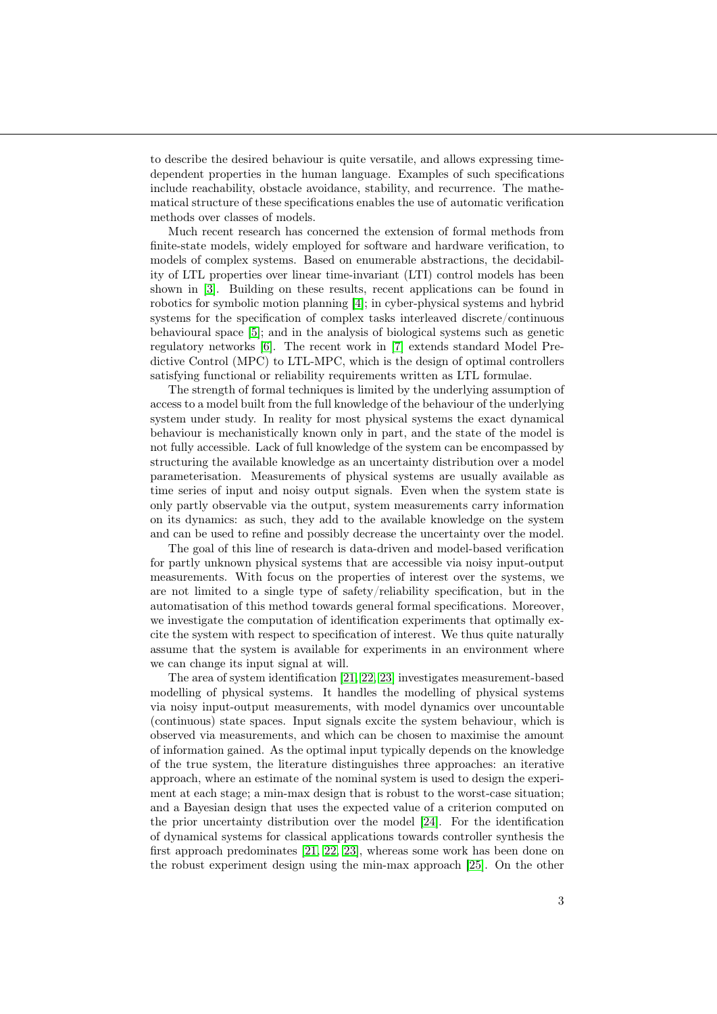to describe the desired behaviour is quite versatile, and allows expressing timedependent properties in the human language. Examples of such specifications include reachability, obstacle avoidance, stability, and recurrence. The mathematical structure of these specifications enables the use of automatic verification methods over classes of models.

Much recent research has concerned the extension of formal methods from finite-state models, widely employed for software and hardware verification, to models of complex systems. Based on enumerable abstractions, the decidability of LTL properties over linear time-invariant (LTI) control models has been shown in [\[3\]](#page-15-2). Building on these results, recent applications can be found in robotics for symbolic motion planning [\[4\]](#page-15-3); in cyber-physical systems and hybrid systems for the specification of complex tasks interleaved discrete/continuous behavioural space [\[5\]](#page-15-4); and in the analysis of biological systems such as genetic regulatory networks [\[6\]](#page-15-5). The recent work in [\[7\]](#page-15-6) extends standard Model Predictive Control (MPC) to LTL-MPC, which is the design of optimal controllers satisfying functional or reliability requirements written as LTL formulae.

The strength of formal techniques is limited by the underlying assumption of access to a model built from the full knowledge of the behaviour of the underlying system under study. In reality for most physical systems the exact dynamical behaviour is mechanistically known only in part, and the state of the model is not fully accessible. Lack of full knowledge of the system can be encompassed by structuring the available knowledge as an uncertainty distribution over a model parameterisation. Measurements of physical systems are usually available as time series of input and noisy output signals. Even when the system state is only partly observable via the output, system measurements carry information on its dynamics: as such, they add to the available knowledge on the system and can be used to refine and possibly decrease the uncertainty over the model.

The goal of this line of research is data-driven and model-based verification for partly unknown physical systems that are accessible via noisy input-output measurements. With focus on the properties of interest over the systems, we are not limited to a single type of safety/reliability specification, but in the automatisation of this method towards general formal specifications. Moreover, we investigate the computation of identification experiments that optimally excite the system with respect to specification of interest. We thus quite naturally assume that the system is available for experiments in an environment where we can change its input signal at will.

The area of system identification [\[21,](#page-16-0) [22,](#page-16-1) [23\]](#page-16-2) investigates measurement-based modelling of physical systems. It handles the modelling of physical systems via noisy input-output measurements, with model dynamics over uncountable (continuous) state spaces. Input signals excite the system behaviour, which is observed via measurements, and which can be chosen to maximise the amount of information gained. As the optimal input typically depends on the knowledge of the true system, the literature distinguishes three approaches: an iterative approach, where an estimate of the nominal system is used to design the experiment at each stage; a min-max design that is robust to the worst-case situation; and a Bayesian design that uses the expected value of a criterion computed on the prior uncertainty distribution over the model [\[24\]](#page-16-3). For the identification of dynamical systems for classical applications towards controller synthesis the first approach predominates [\[21,](#page-16-0) [22,](#page-16-1) [23\]](#page-16-2), whereas some work has been done on the robust experiment design using the min-max approach [\[25\]](#page-16-4). On the other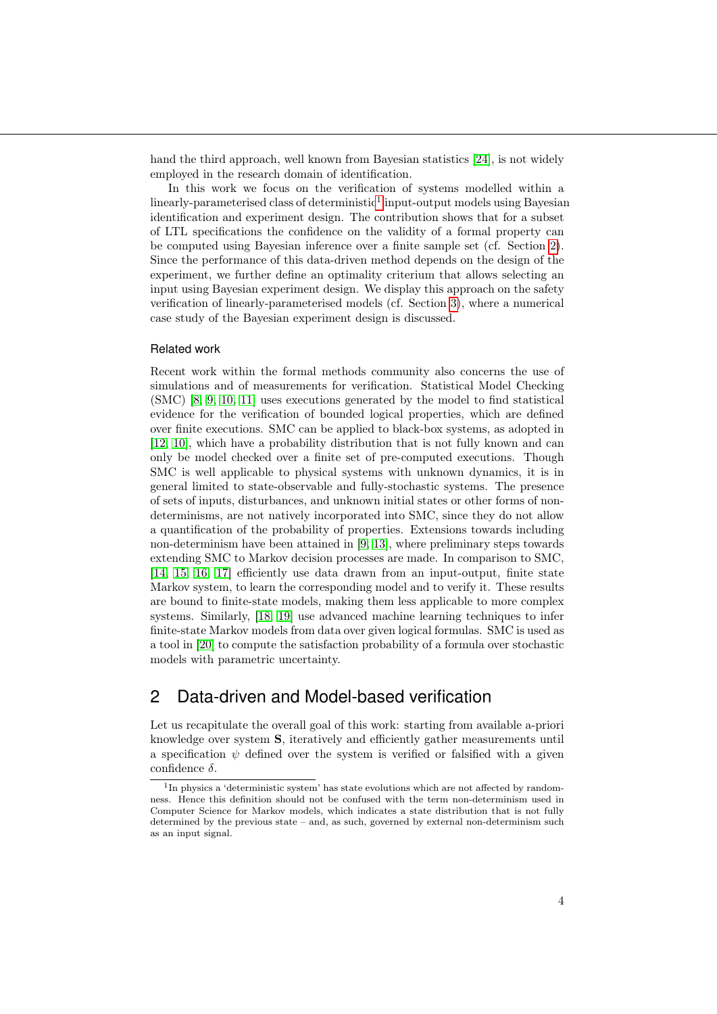hand the third approach, well known from Bayesian statistics [\[24\]](#page-16-3), is not widely employed in the research domain of identification.

In this work we focus on the verification of systems modelled within a  $\text{linearly-}$  parameterised class of deterministic<sup>[1](#page-3-0)</sup> input-output models using Bayesian identification and experiment design. The contribution shows that for a subset of LTL specifications the confidence on the validity of a formal property can be computed using Bayesian inference over a finite sample set (cf. Section [2\)](#page-3-1). Since the performance of this data-driven method depends on the design of the experiment, we further define an optimality criterium that allows selecting an input using Bayesian experiment design. We display this approach on the safety verification of linearly-parameterised models (cf. Section [3\)](#page-9-0), where a numerical case study of the Bayesian experiment design is discussed.

#### Related work

Recent work within the formal methods community also concerns the use of simulations and of measurements for verification. Statistical Model Checking (SMC) [\[8,](#page-15-7) [9,](#page-15-8) [10,](#page-15-9) [11\]](#page-15-10) uses executions generated by the model to find statistical evidence for the verification of bounded logical properties, which are defined over finite executions. SMC can be applied to black-box systems, as adopted in [\[12,](#page-16-5) [10\]](#page-15-9), which have a probability distribution that is not fully known and can only be model checked over a finite set of pre-computed executions. Though SMC is well applicable to physical systems with unknown dynamics, it is in general limited to state-observable and fully-stochastic systems. The presence of sets of inputs, disturbances, and unknown initial states or other forms of nondeterminisms, are not natively incorporated into SMC, since they do not allow a quantification of the probability of properties. Extensions towards including non-determinism have been attained in [\[9,](#page-15-8) [13\]](#page-16-6), where preliminary steps towards extending SMC to Markov decision processes are made. In comparison to SMC, [\[14,](#page-16-7) [15,](#page-16-8) [16,](#page-16-9) [17\]](#page-16-10) efficiently use data drawn from an input-output, finite state Markov system, to learn the corresponding model and to verify it. These results are bound to finite-state models, making them less applicable to more complex systems. Similarly, [\[18,](#page-16-11) [19\]](#page-16-12) use advanced machine learning techniques to infer finite-state Markov models from data over given logical formulas. SMC is used as a tool in [\[20\]](#page-16-13) to compute the satisfaction probability of a formula over stochastic models with parametric uncertainty.

# <span id="page-3-1"></span>2 Data-driven and Model-based verification

Let us recapitulate the overall goal of this work: starting from available a-priori knowledge over system S, iteratively and efficiently gather measurements until a specification  $\psi$  defined over the system is verified or falsified with a given confidence  $\delta$ .

<span id="page-3-0"></span><sup>&</sup>lt;sup>1</sup>In physics a 'deterministic system' has state evolutions which are not affected by randomness. Hence this definition should not be confused with the term non-determinism used in Computer Science for Markov models, which indicates a state distribution that is not fully determined by the previous state – and, as such, governed by external non-determinism such as an input signal.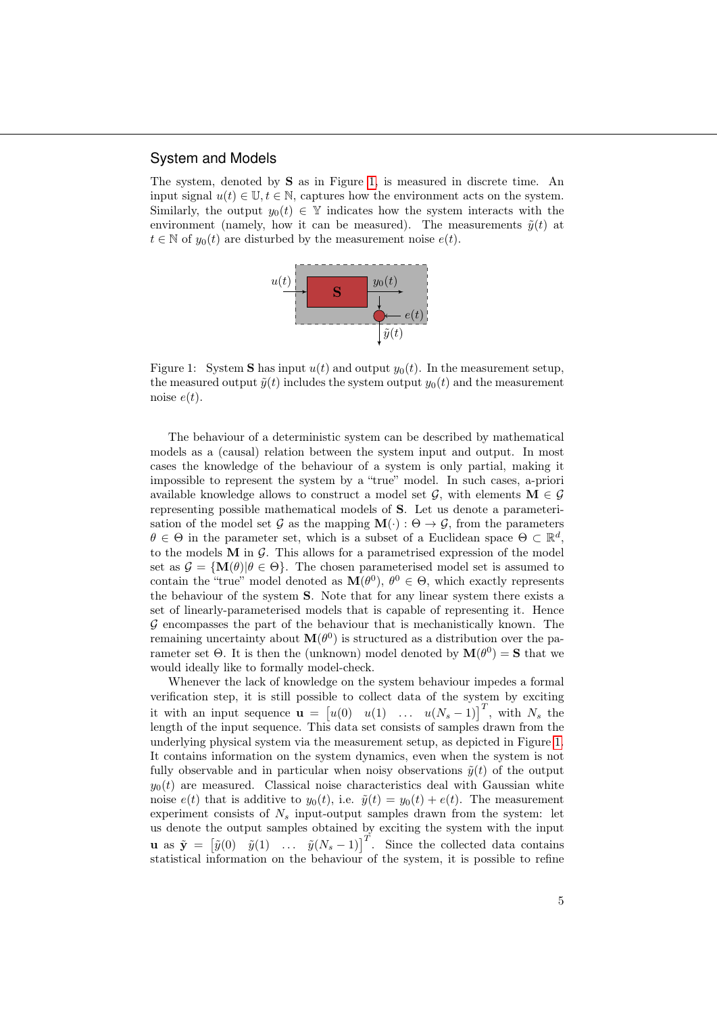#### System and Models

The system, denoted by S as in Figure [1,](#page-4-0) is measured in discrete time. An input signal  $u(t) \in \mathbb{U}, t \in \mathbb{N}$ , captures how the environment acts on the system. Similarly, the output  $y_0(t) \in \mathbb{Y}$  indicates how the system interacts with the environment (namely, how it can be measured). The measurements  $\tilde{y}(t)$  at  $t \in \mathbb{N}$  of  $y_0(t)$  are disturbed by the measurement noise  $e(t)$ .



<span id="page-4-0"></span>Figure 1: System **S** has input  $u(t)$  and output  $y_0(t)$ . In the measurement setup, the measured output  $\tilde{y}(t)$  includes the system output  $y_0(t)$  and the measurement noise  $e(t)$ .

The behaviour of a deterministic system can be described by mathematical models as a (causal) relation between the system input and output. In most cases the knowledge of the behaviour of a system is only partial, making it impossible to represent the system by a "true" model. In such cases, a-priori available knowledge allows to construct a model set  $\mathcal{G}$ , with elements  $\mathbf{M} \in \mathcal{G}$ representing possible mathematical models of S. Let us denote a parameterisation of the model set G as the mapping  $\mathbf{M}(\cdot)$ :  $\Theta \to \mathcal{G}$ , from the parameters  $\theta \in \Theta$  in the parameter set, which is a subset of a Euclidean space  $\Theta \subset \mathbb{R}^d$ , to the models  $M$  in  $G$ . This allows for a parametrised expression of the model set as  $\mathcal{G} = {\bf M}(\theta)|\theta \in \Theta$ . The chosen parameterised model set is assumed to contain the "true" model denoted as  $\mathbf{M}(\theta^0)$ ,  $\theta^0 \in \Theta$ , which exactly represents the behaviour of the system S. Note that for any linear system there exists a set of linearly-parameterised models that is capable of representing it. Hence  $\mathcal G$  encompasses the part of the behaviour that is mechanistically known. The remaining uncertainty about  $\mathbf{M}(\theta^0)$  is structured as a distribution over the parameter set  $\Theta$ . It is then the (unknown) model denoted by  $\mathbf{M}(\theta^0) = \mathbf{S}$  that we would ideally like to formally model-check.

Whenever the lack of knowledge on the system behaviour impedes a formal verification step, it is still possible to collect data of the system by exciting it with an input sequence  $\mathbf{u} = [u(0) \quad u(1) \quad \dots \quad u(N_s-1)]^T$ , with  $N_s$  the length of the input sequence. This data set consists of samples drawn from the underlying physical system via the measurement setup, as depicted in Figure [1.](#page-4-0) It contains information on the system dynamics, even when the system is not fully observable and in particular when noisy observations  $\tilde{y}(t)$  of the output  $y_0(t)$  are measured. Classical noise characteristics deal with Gaussian white noise  $e(t)$  that is additive to  $y_0(t)$ , i.e.  $\tilde{y}(t) = y_0(t) + e(t)$ . The measurement experiment consists of  $N_s$  input-output samples drawn from the system: let us denote the output samples obtained by exciting the system with the input **u** as  $\tilde{\mathbf{y}} = \begin{bmatrix} \tilde{y}(0) & \tilde{y}(1) & \dots & \tilde{y}(N_s-1) \end{bmatrix}^T$ . Since the collected data contains statistical information on the behaviour of the system, it is possible to refine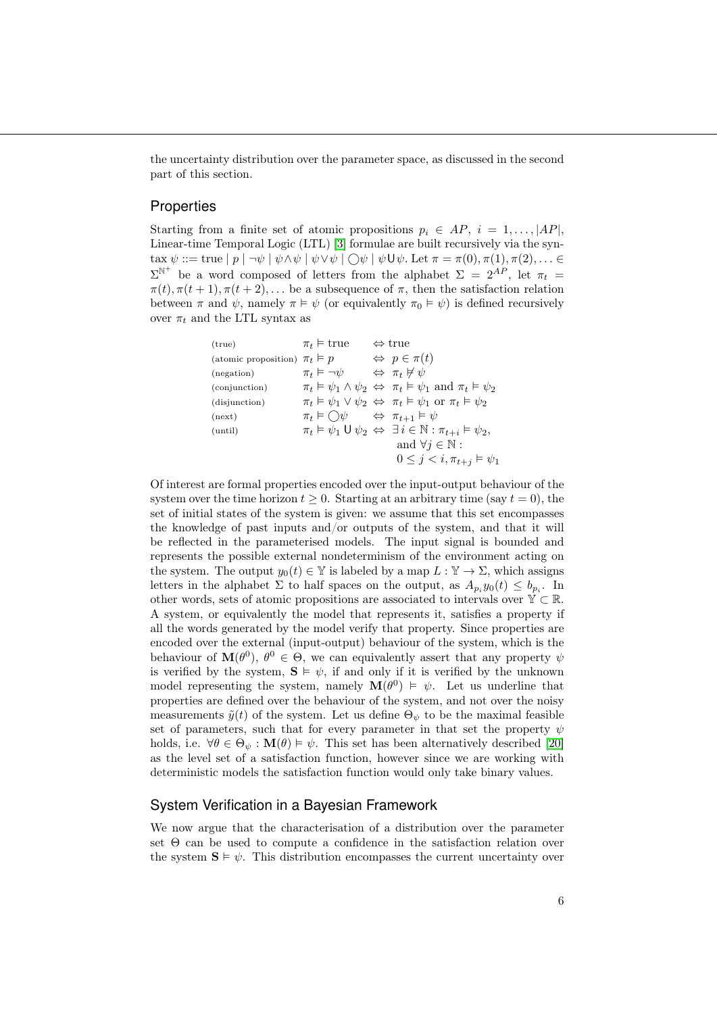the uncertainty distribution over the parameter space, as discussed in the second part of this section.

#### **Properties**

Starting from a finite set of atomic propositions  $p_i \in AP$ ,  $i = 1, \ldots, |AP|$ , Linear-time Temporal Logic (LTL) [\[3\]](#page-15-2) formulae are built recursively via the syntax  $\psi ::= \text{true} | p | \neg \psi | \psi \land \psi | \psi \lor \psi | \bigcirc \psi | \psi \mathsf{U} \psi$ . Let  $\pi = \pi(0), \pi(1), \pi(2), \dots \in$  $\Sigma^{\mathbb{N}^+}$  be a word composed of letters from the alphabet  $\Sigma = 2^{AP}$ , let  $\pi_t =$  $\pi(t), \pi(t+1), \pi(t+2), \ldots$  be a subsequence of  $\pi$ , then the satisfaction relation between  $\pi$  and  $\psi$ , namely  $\pi \models \psi$  (or equivalently  $\pi_0 \models \psi$ ) is defined recursively over  $\pi_t$  and the LTL syntax as

(true)

\n
$$
\pi_t \vDash \text{true} \iff \text{true}
$$
\n(atomic proposition)

\n
$$
\pi_t \vDash p \iff \varphi \in \pi(t)
$$
\n(negation)

\n
$$
\pi_t \vDash \neg \psi \iff \pi_t \nvDash \psi
$$
\n(conjunction)

\n
$$
\pi_t \vDash \psi_1 \land \psi_2 \Leftrightarrow \pi_t \vDash \psi_1 \text{ and } \pi_t \vDash \psi_2
$$
\n(disjunction)

\n
$$
\pi_t \vDash \psi_1 \lor \psi_2 \Leftrightarrow \pi_t \vDash \psi_1 \text{ or } \pi_t \vDash \psi_2
$$
\n(next)

\n
$$
\pi_t \vDash \bigcirc \psi \iff \pi_{t+1} \vDash \psi
$$
\n(until)

\n
$$
\pi_t \vDash \psi_1 \lor \psi_2 \Leftrightarrow \pi_{t+1} \vDash \psi
$$
\n(until)

\n
$$
\pi_t \vDash \psi_1 \lor \psi_2 \Leftrightarrow \exists i \in \mathbb{N} : \pi_{t+i} \vDash \psi_2,
$$
\nand

\n
$$
\forall j \in \mathbb{N} : \qquad 0 \leq j < i, \pi_{t+j} \vDash \psi_1
$$

Of interest are formal properties encoded over the input-output behaviour of the system over the time horizon  $t \geq 0$ . Starting at an arbitrary time (say  $t = 0$ ), the set of initial states of the system is given: we assume that this set encompasses the knowledge of past inputs and/or outputs of the system, and that it will be reflected in the parameterised models. The input signal is bounded and represents the possible external nondeterminism of the environment acting on the system. The output  $y_0(t) \in \mathbb{Y}$  is labeled by a map  $L : \mathbb{Y} \to \Sigma$ , which assigns letters in the alphabet  $\Sigma$  to half spaces on the output, as  $A_{p_i}y_0(t) \leq b_{p_i}$ . In other words, sets of atomic propositions are associated to intervals over  $\mathbb{Y} \subset \mathbb{R}$ . A system, or equivalently the model that represents it, satisfies a property if all the words generated by the model verify that property. Since properties are encoded over the external (input-output) behaviour of the system, which is the behaviour of  $\mathbf{M}(\theta^0)$ ,  $\theta^0 \in \Theta$ , we can equivalently assert that any property  $\psi$ is verified by the system,  $S \vDash \psi$ , if and only if it is verified by the unknown model representing the system, namely  $\mathbf{M}(\theta^0) \models \psi$ . Let us underline that properties are defined over the behaviour of the system, and not over the noisy measurements  $\tilde{y}(t)$  of the system. Let us define  $\Theta_{\psi}$  to be the maximal feasible set of parameters, such that for every parameter in that set the property  $\psi$ holds, i.e.  $\forall \theta \in \Theta_{\psi} : \mathbf{M}(\theta) \models \psi$ . This set has been alternatively described [\[20\]](#page-16-13) as the level set of a satisfaction function, however since we are working with deterministic models the satisfaction function would only take binary values.

#### System Verification in a Bayesian Framework

We now argue that the characterisation of a distribution over the parameter set Θ can be used to compute a confidence in the satisfaction relation over the system  $S \vDash \psi$ . This distribution encompasses the current uncertainty over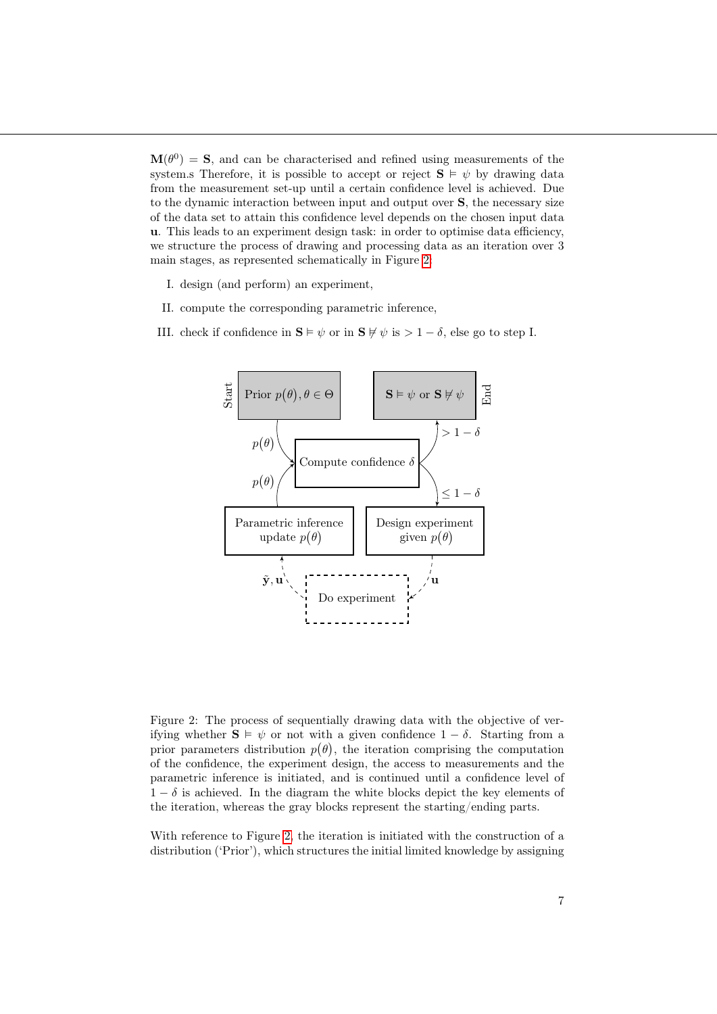$\mathbf{M}(\theta^0) = \mathbf{S}$ , and can be characterised and refined using measurements of the system.s Therefore, it is possible to accept or reject  $S \vDash \psi$  by drawing data from the measurement set-up until a certain confidence level is achieved. Due to the dynamic interaction between input and output over S, the necessary size of the data set to attain this confidence level depends on the chosen input data u. This leads to an experiment design task: in order to optimise data efficiency, we structure the process of drawing and processing data as an iteration over 3 main stages, as represented schematically in Figure [2:](#page-6-0)

- I. design (and perform) an experiment,
- II. compute the corresponding parametric inference,
- III. check if confidence in  $\mathbf{S} \models \psi$  or in  $\mathbf{S} \not\models \psi$  is  $> 1 \delta$ , else go to step I.



<span id="page-6-0"></span>Figure 2: The process of sequentially drawing data with the objective of verifying whether  $S \vDash \psi$  or not with a given confidence  $1 - \delta$ . Starting from a prior parameters distribution  $p(\theta)$ , the iteration comprising the computation of the confidence, the experiment design, the access to measurements and the parametric inference is initiated, and is continued until a confidence level of  $1 - \delta$  is achieved. In the diagram the white blocks depict the key elements of the iteration, whereas the gray blocks represent the starting/ending parts.

With reference to Figure [2,](#page-6-0) the iteration is initiated with the construction of a distribution ('Prior'), which structures the initial limited knowledge by assigning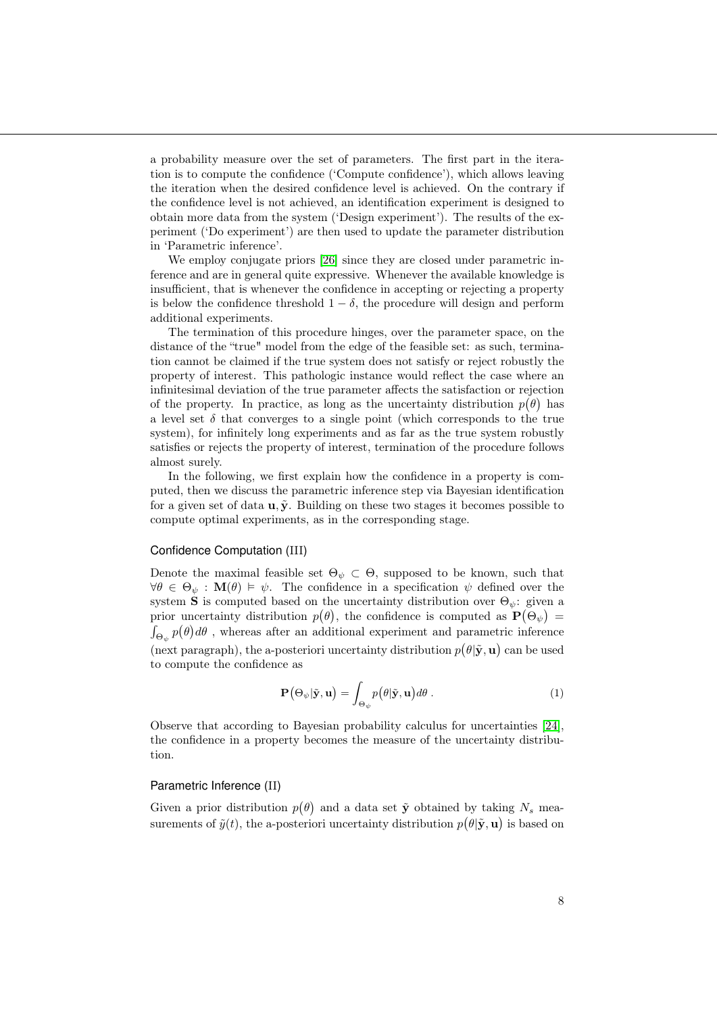a probability measure over the set of parameters. The first part in the iteration is to compute the confidence ('Compute confidence'), which allows leaving the iteration when the desired confidence level is achieved. On the contrary if the confidence level is not achieved, an identification experiment is designed to obtain more data from the system ('Design experiment'). The results of the experiment ('Do experiment') are then used to update the parameter distribution in 'Parametric inference'.

We employ conjugate priors [\[26\]](#page-16-14) since they are closed under parametric inference and are in general quite expressive. Whenever the available knowledge is insufficient, that is whenever the confidence in accepting or rejecting a property is below the confidence threshold  $1 - \delta$ , the procedure will design and perform additional experiments.

The termination of this procedure hinges, over the parameter space, on the distance of the "true" model from the edge of the feasible set: as such, termination cannot be claimed if the true system does not satisfy or reject robustly the property of interest. This pathologic instance would reflect the case where an infinitesimal deviation of the true parameter affects the satisfaction or rejection of the property. In practice, as long as the uncertainty distribution  $p(\theta)$  has a level set  $\delta$  that converges to a single point (which corresponds to the true system), for infinitely long experiments and as far as the true system robustly satisfies or rejects the property of interest, termination of the procedure follows almost surely.

In the following, we first explain how the confidence in a property is computed, then we discuss the parametric inference step via Bayesian identification for a given set of data  $\mathbf{u}, \tilde{\mathbf{y}}$ . Building on these two stages it becomes possible to compute optimal experiments, as in the corresponding stage.

#### Confidence Computation (III)

Denote the maximal feasible set  $\Theta_{\psi} \subset \Theta$ , supposed to be known, such that  $\forall \theta \in \Theta_{\psi} : \mathbf{M}(\theta) \models \psi$ . The confidence in a specification  $\psi$  defined over the system S is computed based on the uncertainty distribution over  $\Theta_{\psi}$ : given a prior uncertainty distribution  $p(\theta)$ , the confidence is computed as  $\mathbf{P}(\Theta_{\psi}) =$  $\int_{\Theta_\psi} p(\theta) d\theta$  , whereas after an additional experiment and parametric inference (next paragraph), the a-posteriori uncertainty distribution  $p(\theta|\tilde{\mathbf{y}}, \mathbf{u})$  can be used to compute the confidence as

<span id="page-7-0"></span>
$$
\mathbf{P}(\Theta_{\psi}|\tilde{\mathbf{y}},\mathbf{u}) = \int_{\Theta_{\psi}} p(\theta|\tilde{\mathbf{y}},\mathbf{u}) d\theta.
$$
 (1)

Observe that according to Bayesian probability calculus for uncertainties [\[24\]](#page-16-3), the confidence in a property becomes the measure of the uncertainty distribution.

#### Parametric Inference (II)

Given a prior distribution  $p(\theta)$  and a data set  $\tilde{y}$  obtained by taking  $N_s$  measurements of  $\tilde{y}(t)$ , the a-posteriori uncertainty distribution  $p(\theta|\tilde{\mathbf{y}}, \mathbf{u})$  is based on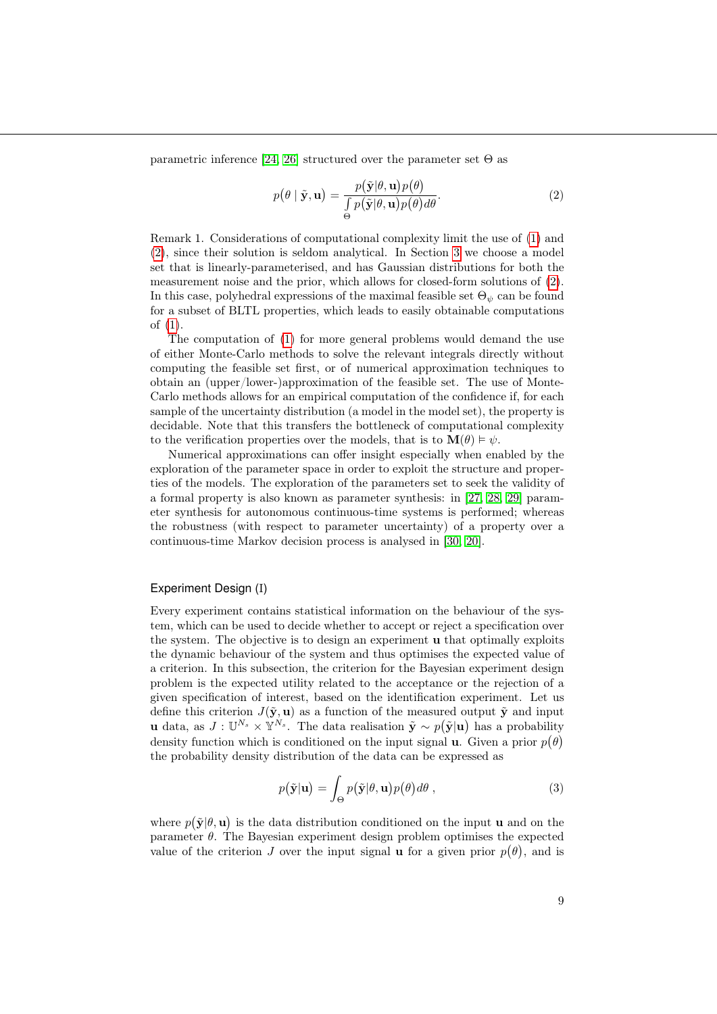parametric inference [\[24,](#page-16-3) [26\]](#page-16-14) structured over the parameter set  $\Theta$  as

<span id="page-8-0"></span>
$$
p(\theta | \tilde{\mathbf{y}}, \mathbf{u}) = \frac{p(\tilde{\mathbf{y}}|\theta, \mathbf{u})p(\theta)}{\int_{\Theta} p(\tilde{\mathbf{y}}|\theta, \mathbf{u})p(\theta) d\theta}.
$$
 (2)

Remark 1. Considerations of computational complexity limit the use of [\(1\)](#page-7-0) and [\(2\)](#page-8-0), since their solution is seldom analytical. In Section [3](#page-9-0) we choose a model set that is linearly-parameterised, and has Gaussian distributions for both the measurement noise and the prior, which allows for closed-form solutions of [\(2\)](#page-8-0). In this case, polyhedral expressions of the maximal feasible set  $\Theta_{\psi}$  can be found for a subset of BLTL properties, which leads to easily obtainable computations of [\(1\)](#page-7-0).

The computation of [\(1\)](#page-7-0) for more general problems would demand the use of either Monte-Carlo methods to solve the relevant integrals directly without computing the feasible set first, or of numerical approximation techniques to obtain an (upper/lower-)approximation of the feasible set. The use of Monte-Carlo methods allows for an empirical computation of the confidence if, for each sample of the uncertainty distribution (a model in the model set), the property is decidable. Note that this transfers the bottleneck of computational complexity to the verification properties over the models, that is to  $\mathbf{M}(\theta) \models \psi$ .

Numerical approximations can offer insight especially when enabled by the exploration of the parameter space in order to exploit the structure and properties of the models. The exploration of the parameters set to seek the validity of a formal property is also known as parameter synthesis: in [\[27,](#page-16-15) [28,](#page-17-0) [29\]](#page-17-1) parameter synthesis for autonomous continuous-time systems is performed; whereas the robustness (with respect to parameter uncertainty) of a property over a continuous-time Markov decision process is analysed in [\[30,](#page-17-2) [20\]](#page-16-13).

#### Experiment Design (I)

Every experiment contains statistical information on the behaviour of the system, which can be used to decide whether to accept or reject a specification over the system. The objective is to design an experiment u that optimally exploits the dynamic behaviour of the system and thus optimises the expected value of a criterion. In this subsection, the criterion for the Bayesian experiment design problem is the expected utility related to the acceptance or the rejection of a given specification of interest, based on the identification experiment. Let us define this criterion  $J(\tilde{\mathbf{y}}, \mathbf{u})$  as a function of the measured output  $\tilde{\mathbf{y}}$  and input u data, as  $J: \mathbb{U}^{N_s} \times \mathbb{Y}^{N_s}$ . The data realisation  $\tilde{\mathbf{y}} \sim p(\tilde{\mathbf{y}}|\mathbf{u})$  has a probability density function which is conditioned on the input signal **u**. Given a prior  $p(\theta)$ the probability density distribution of the data can be expressed as

<span id="page-8-1"></span>
$$
p(\tilde{\mathbf{y}}|\mathbf{u}) = \int_{\Theta} p(\tilde{\mathbf{y}}|\theta, \mathbf{u}) p(\theta) d\theta , \qquad (3)
$$

where  $p(\tilde{\mathbf{y}}|\theta, \mathbf{u})$  is the data distribution conditioned on the input **u** and on the parameter  $\theta$ . The Bayesian experiment design problem optimises the expected value of the criterion J over the input signal **u** for a given prior  $p(\theta)$ , and is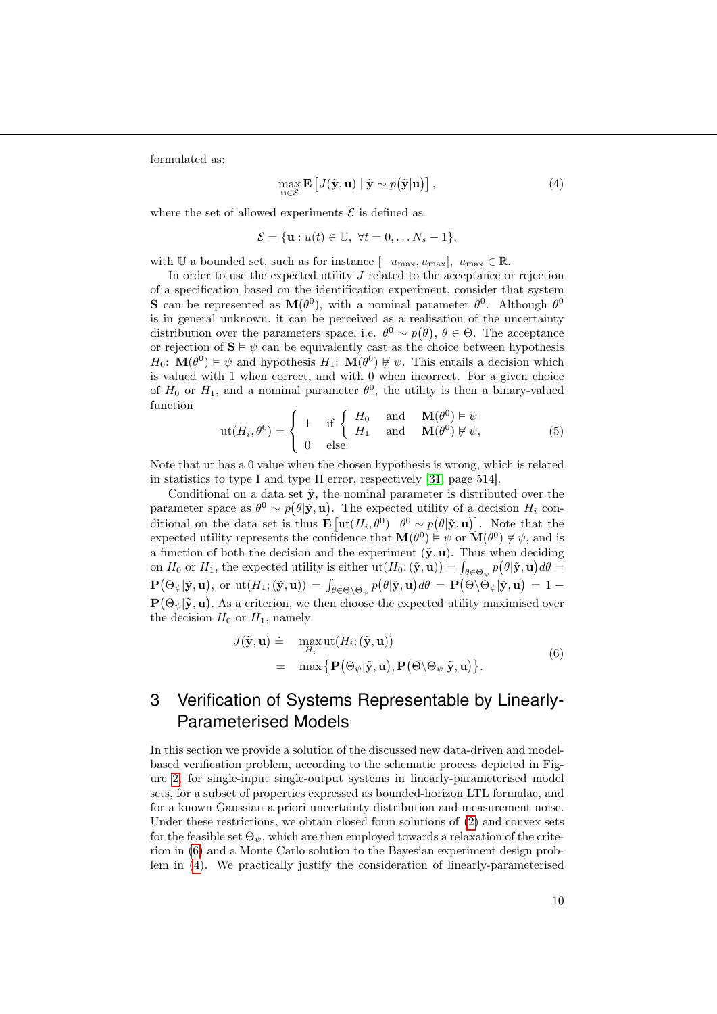formulated as:

<span id="page-9-2"></span>
$$
\max_{\mathbf{u}\in\mathcal{E}} \mathbf{E}\left[J(\tilde{\mathbf{y}}, \mathbf{u}) \mid \tilde{\mathbf{y}} \sim p(\tilde{\mathbf{y}}|\mathbf{u})\right],\tag{4}
$$

where the set of allowed experiments  $\mathcal E$  is defined as

$$
\mathcal{E} = \{\mathbf{u} : u(t) \in \mathbb{U}, \ \forall t = 0, \dots N_s - 1\},\
$$

with U a bounded set, such as for instance  $[-u_{\text{max}}, u_{\text{max}}]$ ,  $u_{\text{max}} \in \mathbb{R}$ .

In order to use the expected utility  $J$  related to the acceptance or rejection of a specification based on the identification experiment, consider that system **S** can be represented as  $M(\theta^0)$ , with a nominal parameter  $\theta^0$ . Although  $\theta^0$ is in general unknown, it can be perceived as a realisation of the uncertainty distribution over the parameters space, i.e.  $\theta^0 \sim p(\theta)$ ,  $\theta \in \Theta$ . The acceptance or rejection of  $S \vDash \psi$  can be equivalently cast as the choice between hypothesis  $H_0$ :  $\mathbf{M}(\theta^0) \models \psi$  and hypothesis  $H_1$ :  $\mathbf{M}(\theta^0) \not\vdash \psi$ . This entails a decision which is valued with 1 when correct, and with 0 when incorrect. For a given choice of  $H_0$  or  $H_1$ , and a nominal parameter  $\theta^0$ , the utility is then a binary-valued function

$$
ut(H_i, \theta^0) = \begin{cases} 1 & \text{if } \begin{cases} H_0 & \text{and } M(\theta^0) \models \psi \\ 0 & \text{else.} \end{cases} \\ 0 & \text{else.} \end{cases}
$$
 (5)

Note that ut has a 0 value when the chosen hypothesis is wrong, which is related in statistics to type I and type II error, respectively [\[31,](#page-17-3) page 514].

Conditional on a data set  $\tilde{y}$ , the nominal parameter is distributed over the parameter space as  $\theta^0 \sim p(\theta|\tilde{\mathbf{y}}, \mathbf{u})$ . The expected utility of a decision  $H_i$  conditional on the data set is thus  $\mathbf{E} \left[ \mathrm{ut}(H_i, \theta^0) \mid \theta^0 \sim p(\theta | \tilde{\mathbf{y}}, \mathbf{u}) \right]$ . Note that the expected utility represents the confidence that  $\mathbf{M}(\theta^0) \models \psi$  or  $\mathbf{M}(\theta^0) \not\vdash \psi$ , and is a function of both the decision and the experiment  $(\tilde{y}, u)$ . Thus when deciding on  $H_0$  or  $H_1$ , the expected utility is either  $\text{ut}(H_0; (\tilde{\mathbf{y}}, \mathbf{u})) = \int_{\theta \in \Theta_{\psi}} p(\theta | \tilde{\mathbf{y}}, \mathbf{u}) d\theta =$  $\mathbf{P}\big(\Theta_\psi | \tilde{\mathbf{y}}, \mathbf{u}\big), \text{ or } \mathrm{ut}(H_1; (\tilde{\mathbf{y}}, \mathbf{u})) = \int_{\theta \in \Theta \backslash \Theta_\psi} p\big(\theta | \tilde{\mathbf{y}}, \mathbf{u}\big) d\theta = \mathbf{P}\big(\Theta \backslash \Theta_\psi | \tilde{\mathbf{y}}, \mathbf{u}\big) = 1 - \theta \mathbf{p}$  $\mathbf{P}(\Theta_{\psi}|\tilde{\mathbf{y}},\mathbf{u})$ . As a criterion, we then choose the expected utility maximised over the decision  $H_0$  or  $H_1$ , namely

<span id="page-9-1"></span>
$$
J(\tilde{\mathbf{y}}, \mathbf{u}) \doteq \max_{H_i} \mathrm{ut}(H_i; (\tilde{\mathbf{y}}, \mathbf{u}))
$$
  
= 
$$
\max \{ \mathbf{P}(\Theta_{\psi} | \tilde{\mathbf{y}}, \mathbf{u}), \mathbf{P}(\Theta \setminus \Theta_{\psi} | \tilde{\mathbf{y}}, \mathbf{u}) \}.
$$
 (6)

# <span id="page-9-0"></span>3 Verification of Systems Representable by Linearly-Parameterised Models

In this section we provide a solution of the discussed new data-driven and modelbased verification problem, according to the schematic process depicted in Figure [2,](#page-6-0) for single-input single-output systems in linearly-parameterised model sets, for a subset of properties expressed as bounded-horizon LTL formulae, and for a known Gaussian a priori uncertainty distribution and measurement noise. Under these restrictions, we obtain closed form solutions of [\(2\)](#page-8-0) and convex sets for the feasible set  $\Theta_{\psi}$ , which are then employed towards a relaxation of the criterion in [\(6\)](#page-9-1) and a Monte Carlo solution to the Bayesian experiment design problem in [\(4\)](#page-9-2). We practically justify the consideration of linearly-parameterised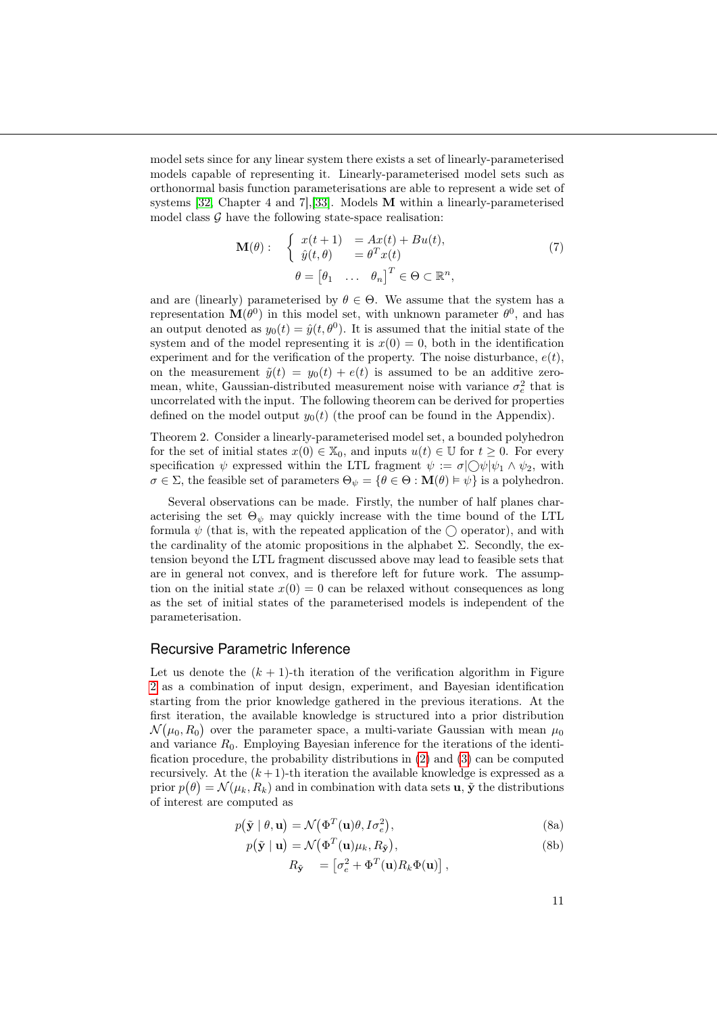model sets since for any linear system there exists a set of linearly-parameterised models capable of representing it. Linearly-parameterised model sets such as orthonormal basis function parameterisations are able to represent a wide set of systems [\[32,](#page-17-4) Chapter 4 and 7],[\[33\]](#page-17-5). Models M within a linearly-parameterised model class  $G$  have the following state-space realisation:

$$
\mathbf{M}(\theta): \begin{cases} x(t+1) = Ax(t) + Bu(t), \\ \hat{y}(t,\theta) = \theta^T x(t) \end{cases}
$$
(7)  

$$
\theta = \begin{bmatrix} \theta_1 & \dots & \theta_n \end{bmatrix}^T \in \Theta \subset \mathbb{R}^n,
$$

and are (linearly) parameterised by  $\theta \in \Theta$ . We assume that the system has a representation  $\mathbf{M}(\theta^0)$  in this model set, with unknown parameter  $\theta^0$ , and has an output denoted as  $y_0(t) = \hat{y}(t, \theta^0)$ . It is assumed that the initial state of the system and of the model representing it is  $x(0) = 0$ , both in the identification experiment and for the verification of the property. The noise disturbance,  $e(t)$ , on the measurement  $\tilde{y}(t) = y_0(t) + e(t)$  is assumed to be an additive zeromean, white, Gaussian-distributed measurement noise with variance  $\sigma_e^2$  that is uncorrelated with the input. The following theorem can be derived for properties defined on the model output  $y_0(t)$  (the proof can be found in the Appendix).

<span id="page-10-2"></span>Theorem 2. Consider a linearly-parameterised model set, a bounded polyhedron for the set of initial states  $x(0) \in \mathbb{X}_0$ , and inputs  $u(t) \in \mathbb{U}$  for  $t \geq 0$ . For every specification  $\psi$  expressed within the LTL fragment  $\psi := \sigma | \bigcirc \psi | \psi_1 \wedge \psi_2$ , with  $\sigma \in \Sigma$ , the feasible set of parameters  $\Theta_{\psi} = {\theta \in \Theta : \mathbf{M}(\theta) \models \psi}$  is a polyhedron.

Several observations can be made. Firstly, the number of half planes characterising the set  $\Theta_{\psi}$  may quickly increase with the time bound of the LTL formula  $\psi$  (that is, with the repeated application of the  $\bigcirc$  operator), and with the cardinality of the atomic propositions in the alphabet  $\Sigma$ . Secondly, the extension beyond the LTL fragment discussed above may lead to feasible sets that are in general not convex, and is therefore left for future work. The assumption on the initial state  $x(0) = 0$  can be relaxed without consequences as long as the set of initial states of the parameterised models is independent of the parameterisation.

#### Recursive Parametric Inference

Let us denote the  $(k + 1)$ -th iteration of the verification algorithm in Figure [2](#page-6-0) as a combination of input design, experiment, and Bayesian identification starting from the prior knowledge gathered in the previous iterations. At the first iteration, the available knowledge is structured into a prior distribution  $\mathcal{N}(\mu_0, R_0)$  over the parameter space, a multi-variate Gaussian with mean  $\mu_0$ and variance  $R_0$ . Employing Bayesian inference for the iterations of the identification procedure, the probability distributions in [\(2\)](#page-8-0) and [\(3\)](#page-8-1) can be computed recursively. At the  $(k+1)$ -th iteration the available knowledge is expressed as a prior  $p(\theta) = \mathcal{N}(\mu_k, R_k)$  and in combination with data sets **u**,  $\tilde{\mathbf{y}}$  the distributions of interest are computed as

$$
p(\tilde{\mathbf{y}} \mid \theta, \mathbf{u}) = \mathcal{N}\big(\Phi^T(\mathbf{u})\theta, I\sigma_e^2\big),\tag{8a}
$$

$$
p(\tilde{\mathbf{y}} \mid \mathbf{u}) = \mathcal{N}\big(\Phi^T(\mathbf{u})\mu_k, R_{\tilde{\mathbf{y}}}\big),\tag{8b}
$$

<span id="page-10-1"></span><span id="page-10-0"></span>
$$
R_{\tilde{\mathbf{y}}} = \begin{bmatrix} \sigma_e^2 + \Phi^T(\mathbf{u}) R_k \Phi(\mathbf{u}) \end{bmatrix},
$$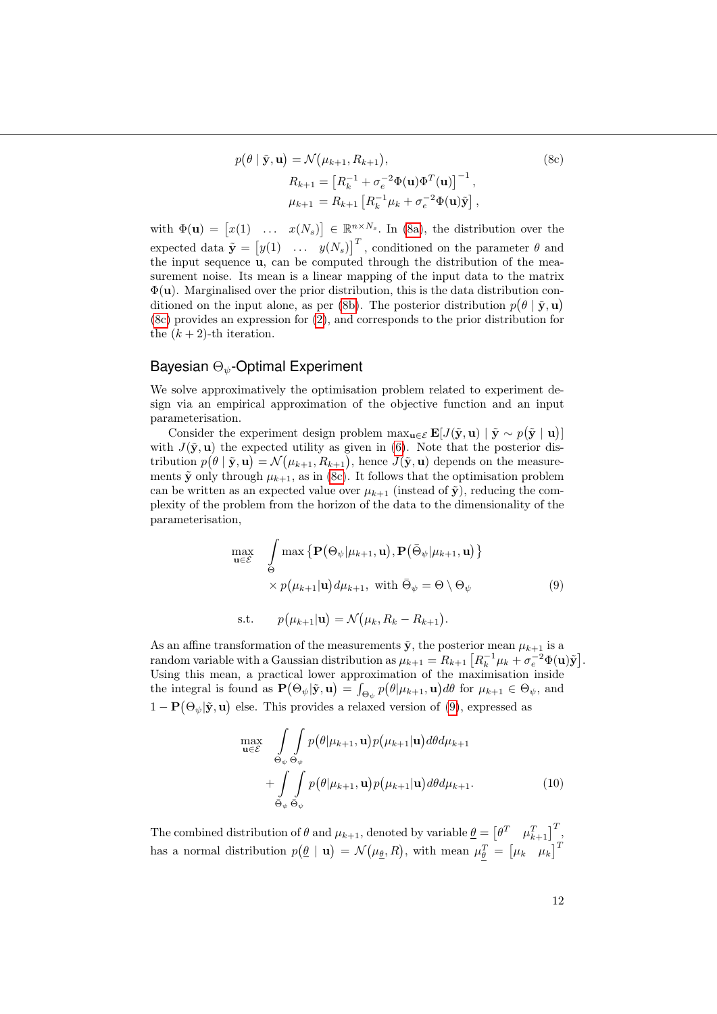<span id="page-11-0"></span>
$$
p(\theta | \tilde{\mathbf{y}}, \mathbf{u}) = \mathcal{N}(\mu_{k+1}, R_{k+1}),
$$
\n
$$
R_{k+1} = \left[R_k^{-1} + \sigma_e^{-2} \Phi(\mathbf{u}) \Phi^T(\mathbf{u})\right]^{-1},
$$
\n
$$
\mu_{k+1} = R_{k+1} \left[R_k^{-1} \mu_k + \sigma_e^{-2} \Phi(\mathbf{u}) \tilde{\mathbf{y}}\right],
$$
\n(8c)

with  $\Phi(\mathbf{u}) = [x(1) \dots x(N_s)] \in \mathbb{R}^{n \times N_s}$ . In [\(8a\)](#page-10-0), the distribution over the expected data  $\tilde{\mathbf{y}} = [y(1) \dots y(N_s)]^T$ , conditioned on the parameter  $\theta$  and the input sequence u, can be computed through the distribution of the measurement noise. Its mean is a linear mapping of the input data to the matrix  $\Phi(\mathbf{u})$ . Marginalised over the prior distribution, this is the data distribution con-ditioned on the input alone, as per [\(8b\)](#page-10-1). The posterior distribution  $p(\theta | \tilde{\mathbf{y}}, \mathbf{u})$ [\(8c\)](#page-11-0) provides an expression for [\(2\)](#page-8-0), and corresponds to the prior distribution for the  $(k+2)$ -th iteration.

#### Bayesian  $\Theta_{\psi}$ -Optimal Experiment

We solve approximatively the optimisation problem related to experiment design via an empirical approximation of the objective function and an input parameterisation.

Consider the experiment design problem  $\max_{\mathbf{u}\in\mathcal{E}} \mathbf{E}[J(\tilde{\mathbf{y}}, \mathbf{u}) | \tilde{\mathbf{y}} \sim p(\tilde{\mathbf{y}} | \mathbf{u})]$ with  $J(\tilde{y}, u)$  the expected utility as given in [\(6\)](#page-9-1). Note that the posterior distribution  $p(\theta | \tilde{\mathbf{y}}, \mathbf{u}) = \mathcal{N}(\mu_{k+1}, R_{k+1}),$  hence  $J(\tilde{\mathbf{y}}, \mathbf{u})$  depends on the measurements  $\tilde{\mathbf{y}}$  only through  $\mu_{k+1}$ , as in [\(8c\)](#page-11-0). It follows that the optimisation problem can be written as an expected value over  $\mu_{k+1}$  (instead of  $\tilde{\mathbf{y}}$ ), reducing the complexity of the problem from the horizon of the data to the dimensionality of the parameterisation,

$$
\max_{\mathbf{u}\in\mathcal{E}} \quad \int_{\Theta} \max \left\{ \mathbf{P}(\Theta_{\psi}|\mu_{k+1}, \mathbf{u}), \mathbf{P}(\bar{\Theta}_{\psi}|\mu_{k+1}, \mathbf{u}) \right\} \\ \times p(\mu_{k+1}|\mathbf{u}) d\mu_{k+1}, \text{ with } \bar{\Theta}_{\psi} = \Theta \setminus \Theta_{\psi} \tag{9}
$$

<span id="page-11-1"></span>s.t.  $\mathcal{N}(\mu_{k+1}|\mathbf{u}) = \mathcal{N}(\mu_k, R_k - R_{k+1}).$ 

As an affine transformation of the measurements  $\tilde{\mathbf{y}}$ , the posterior mean  $\mu_{k+1}$  is a random variable with a Gaussian distribution as  $\mu_{k+1} = R_{k+1} \left[ R_k^{-1} \mu_k + \sigma_e^{-2} \Phi(\mathbf{u}) \tilde{\mathbf{y}} \right]$ . Using this mean, a practical lower approximation of the maximisation inside the integral is found as  $\mathbf{P}(\Theta_{\psi}|\tilde{\mathbf{y}}, \mathbf{u}) = \int_{\Theta_{\psi}} p(\theta|\mu_{k+1}, \mathbf{u}) d\theta$  for  $\mu_{k+1} \in \Theta_{\psi}$ , and  $1 - P(\Theta_{\psi} | \tilde{\mathbf{y}}, \mathbf{u})$  else. This provides a relaxed version of [\(9\)](#page-11-1), expressed as

<span id="page-11-2"></span>
$$
\max_{\mathbf{u}\in\mathcal{E}} \int_{\Theta_{\psi}} \int_{\Theta_{\psi}} p(\theta|\mu_{k+1}, \mathbf{u}) p(\mu_{k+1}|\mathbf{u}) d\theta d\mu_{k+1} + \int_{\Theta_{\psi}} \int_{\Theta_{\psi}} p(\theta|\mu_{k+1}, \mathbf{u}) p(\mu_{k+1}|\mathbf{u}) d\theta d\mu_{k+1}.
$$
\n(10)

The combined distribution of  $\theta$  and  $\mu_{k+1}$ , denoted by variable  $\underline{\theta} = \begin{bmatrix} \theta^T & \mu_{k+1}^T \end{bmatrix}^T$ , has a normal distribution  $p(\underline{\theta} | \mathbf{u}) = \mathcal{N}(\mu_{\underline{\theta}}, R)$ , with mean  $\mu_{\underline{\theta}}^T = [\mu_k \ \mu_k]^T$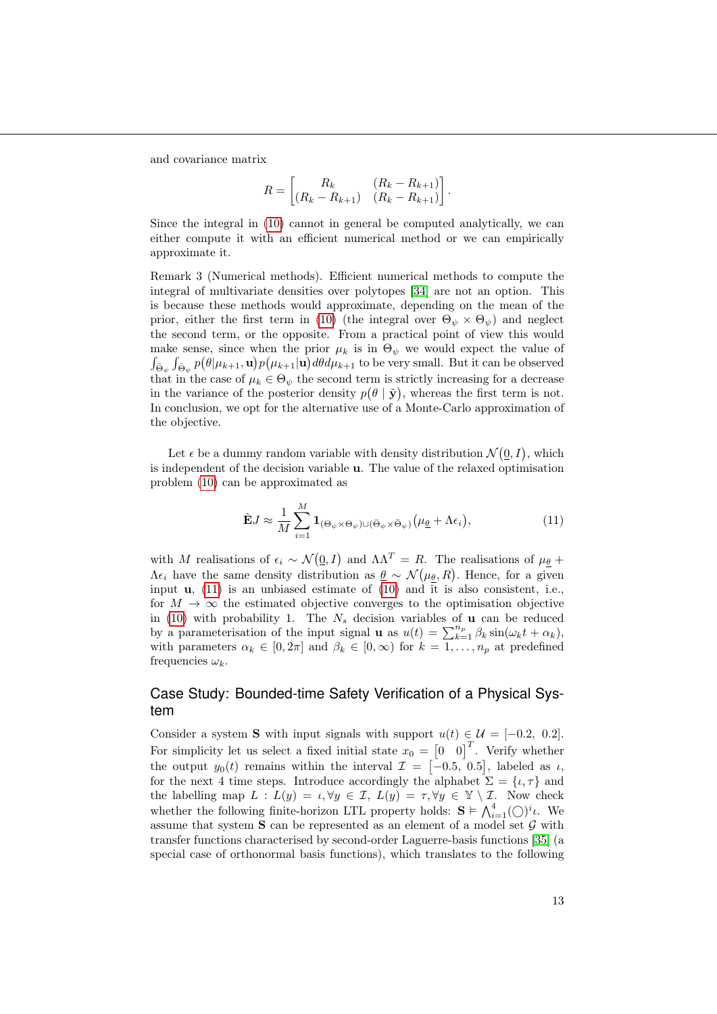and covariance matrix

$$
R = \begin{bmatrix} R_k & (R_k - R_{k+1}) \\ (R_k - R_{k+1}) & (R_k - R_{k+1}) \end{bmatrix}.
$$

Since the integral in [\(10\)](#page-11-2) cannot in general be computed analytically, we can either compute it with an efficient numerical method or we can empirically approximate it.

Remark 3 (Numerical methods). Efficient numerical methods to compute the integral of multivariate densities over polytopes [\[34\]](#page-17-6) are not an option. This is because these methods would approximate, depending on the mean of the prior, either the first term in [\(10\)](#page-11-2) (the integral over  $\Theta_{\psi} \times \Theta_{\psi}$ ) and neglect the second term, or the opposite. From a practical point of view this would make sense, since when the prior  $\mu_k$  is in  $\Theta_{\psi}$  we would expect the value of  $\int_{\bar{\Theta}_\psi} \int_{\bar{\Theta}_\psi} p\big(\theta|\mu_{k+1},\mathbf{u}\big) p\big(\mu_{k+1}|\mathbf{u}\big) d\theta d\mu_{k+1}$  to be very small. But it can be observed that in the case of  $\mu_k \in \Theta_{\psi}$  the second term is strictly increasing for a decrease in the variance of the posterior density  $p(\theta | \tilde{\mathbf{y}})$ , whereas the first term is not. In conclusion, we opt for the alternative use of a Monte-Carlo approximation of the objective.

Let  $\epsilon$  be a dummy random variable with density distribution  $\mathcal{N}(\underline{0}, I)$ , which is independent of the decision variable u. The value of the relaxed optimisation problem [\(10\)](#page-11-2) can be approximated as

<span id="page-12-0"></span>
$$
\hat{\mathbf{E}}J \approx \frac{1}{M} \sum_{i=1}^{M} \mathbf{1}_{(\Theta_{\psi} \times \Theta_{\psi}) \cup (\bar{\Theta}_{\psi} \times \bar{\Theta}_{\psi})} (\mu_{\underline{\theta}} + \Lambda \epsilon_{i}), \tag{11}
$$

with M realisations of  $\epsilon_i \sim \mathcal{N}(\underline{0}, I)$  and  $\Lambda \Lambda^T = R$ . The realisations of  $\mu_{\underline{\theta}}$  +  $\Lambda \epsilon_i$  have the same density distribution as  $\underline{\theta} \sim \mathcal{N}(\mu_{\underline{\theta}}, R)$ . Hence, for a given input  $\mathbf{u}$ , [\(11\)](#page-12-0) is an unbiased estimate of [\(10\)](#page-11-2) and it is also consistent, i.e., for  $M \to \infty$  the estimated objective converges to the optimisation objective in [\(10\)](#page-11-2) with probability 1. The  $N_s$  decision variables of **u** can be reduced by a parameterisation of the input signal **u** as  $u(t) = \sum_{k=1}^{n_p} \beta_k \sin(\omega_k t + \alpha_k)$ , with parameters  $\alpha_k \in [0, 2\pi]$  and  $\beta_k \in [0, \infty)$  for  $k = 1, \dots, n_p$  at predefined frequencies  $\omega_k$ .

### Case Study: Bounded-time Safety Verification of a Physical System

Consider a system S with input signals with support  $u(t) \in \mathcal{U} = [-0.2, 0.2]$ . For simplicity let us select a fixed initial state  $x_0 = \begin{bmatrix} 0 & 0 \end{bmatrix}^T$ . Verify whether the output  $y_0(t)$  remains within the interval  $\mathcal{I} = [-0.5, 0.5]$ , labeled as  $\iota$ , for the next 4 time steps. Introduce accordingly the alphabet  $\Sigma = {\iota, \tau}$  and the labelling map  $L : L(y) = \iota, \forall y \in \mathcal{I}, L(y) = \tau, \forall y \in \mathcal{Y} \setminus \mathcal{I}.$  Now check whether the following finite-horizon LTL property holds:  $S \models \bigwedge_{i=1}^{4} (\bigcirc)^{i} \iota$ . We assume that system  $S$  can be represented as an element of a model set  $G$  with transfer functions characterised by second-order Laguerre-basis functions [\[35\]](#page-17-7) (a special case of orthonormal basis functions), which translates to the following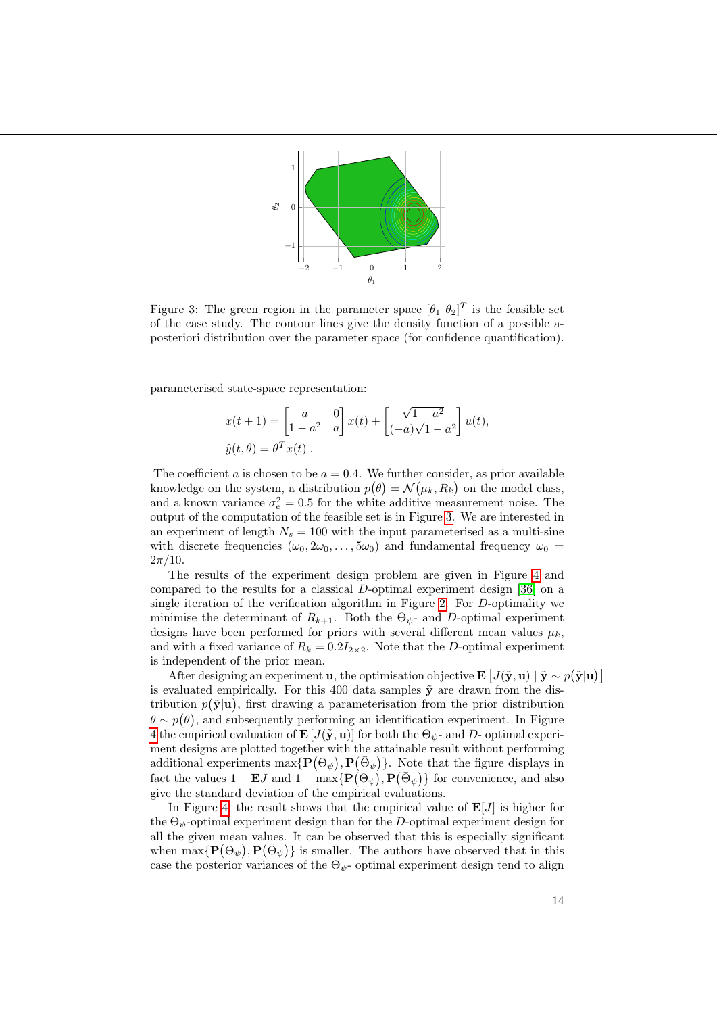

<span id="page-13-0"></span>Figure 3: The green region in the parameter space  $[\theta_1 \ \theta_2]^T$  is the feasible set of the case study. The contour lines give the density function of a possible aposteriori distribution over the parameter space (for confidence quantification).

parameterised state-space representation:

$$
x(t+1) = \begin{bmatrix} a & 0 \ 1 - a^2 & a \end{bmatrix} x(t) + \begin{bmatrix} \sqrt{1 - a^2} \\ (-a)\sqrt{1 - a^2} \end{bmatrix} u(t),
$$
  

$$
\hat{y}(t, \theta) = \theta^T x(t).
$$

The coefficient a is chosen to be  $a = 0.4$ . We further consider, as prior available knowledge on the system, a distribution  $p(\theta) = \mathcal{N}(\mu_k, R_k)$  on the model class, and a known variance  $\sigma_e^2 = 0.5$  for the white additive measurement noise. The output of the computation of the feasible set is in Figure [3.](#page-13-0) We are interested in an experiment of length  $N_s = 100$  with the input parameterised as a multi-sine with discrete frequencies  $(\omega_0, 2\omega_0, \ldots, 5\omega_0)$  and fundamental frequency  $\omega_0 =$  $2\pi/10$ .

The results of the experiment design problem are given in Figure [4](#page-14-0) and compared to the results for a classical D-optimal experiment design [\[36\]](#page-17-8) on a single iteration of the verification algorithm in Figure [2.](#page-6-0) For D-optimality we minimise the determinant of  $R_{k+1}$ . Both the  $\Theta_{\psi}$ - and D-optimal experiment designs have been performed for priors with several different mean values  $\mu_k$ , and with a fixed variance of  $R_k = 0.2I_{2\times 2}$ . Note that the D-optimal experiment is independent of the prior mean.

After designing an experiment **u**, the optimisation objective  $\mathbf{E} [J(\tilde{\mathbf{y}}, \mathbf{u}) | \tilde{\mathbf{y}} \sim p(\tilde{\mathbf{y}} | \mathbf{u})]$ is evaluated empirically. For this 400 data samples  $\tilde{y}$  are drawn from the distribution  $p(\tilde{\mathbf{y}}|\mathbf{u})$ , first drawing a parameterisation from the prior distribution  $\theta \sim p(\theta)$ , and subsequently performing an identification experiment. In Figure [4](#page-14-0) the empirical evaluation of  $\mathbf{E}[J(\tilde{\mathbf{y}}, \mathbf{u})]$  for both the  $\Theta_{\psi}$ - and D- optimal experiment designs are plotted together with the attainable result without performing additional experiments  $\max\{P(\Theta_{\psi}), P(\bar{\Theta}_{\psi})\}$ . Note that the figure displays in fact the values  $1 - \mathbf{E}J$  and  $1 - \max\{\mathbf{P}(\Theta_{\psi}), \mathbf{P}(\bar{\Theta}_{\psi})\}\)$  for convenience, and also give the standard deviation of the empirical evaluations.

In Figure [4,](#page-14-0) the result shows that the empirical value of  $\mathbf{E}[J]$  is higher for the  $\Theta_{\psi}$ -optimal experiment design than for the D-optimal experiment design for all the given mean values. It can be observed that this is especially significant when  $\max\{P(\Theta_{\psi}), P(\bar{\Theta}_{\psi})\}$  is smaller. The authors have observed that in this case the posterior variances of the  $\Theta_{\psi}$ - optimal experiment design tend to align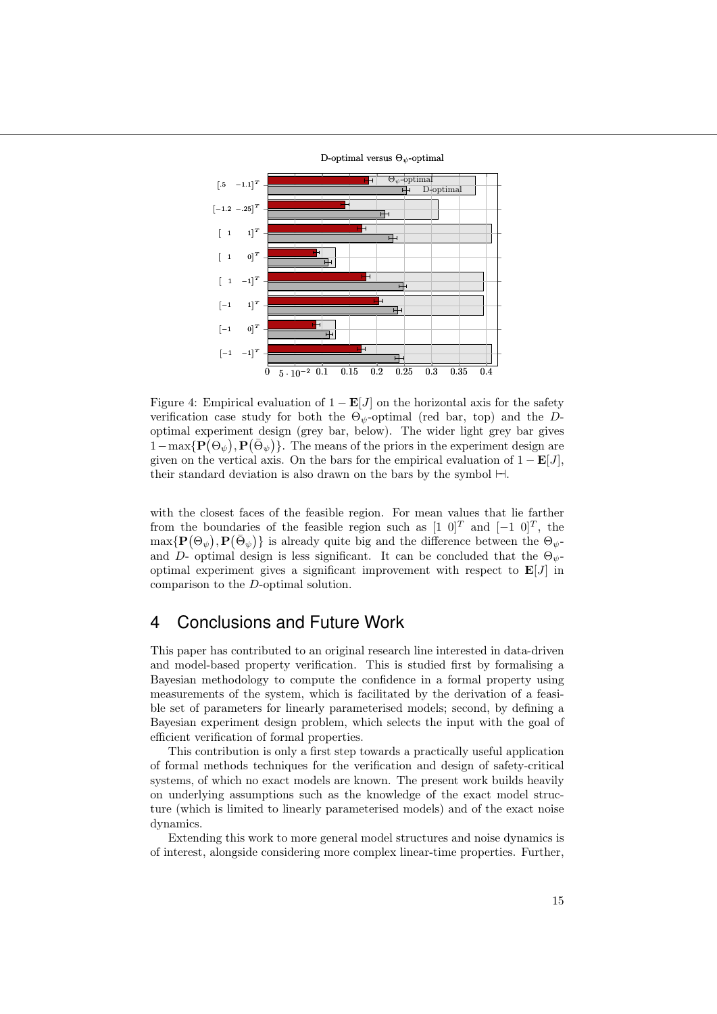

<span id="page-14-0"></span>Figure 4: Empirical evaluation of  $1 - E[J]$  on the horizontal axis for the safety verification case study for both the  $\Theta_{\psi}$ -optimal (red bar, top) and the Doptimal experiment design (grey bar, below). The wider light grey bar gives  $1-\max\{\mathbf{P}(\Theta_{\psi}), \mathbf{P}(\bar{\Theta}_{\psi})\}.$  The means of the priors in the experiment design are given on the vertical axis. On the bars for the empirical evaluation of  $1 - \mathbf{E}[J]$ , their standard deviation is also drawn on the bars by the symbol  $\vdash$ .

with the closest faces of the feasible region. For mean values that lie farther from the boundaries of the feasible region such as  $[1\ 0]^T$  and  $[-1\ 0]^T$ , the  $\max\{\mathbf{P}(\Theta_{\psi}),\mathbf{P}(\bar{\Theta}_{\psi})\}\$ is already quite big and the difference between the  $\Theta_{\psi}$ and D- optimal design is less significant. It can be concluded that the  $\Theta_{\psi}$ optimal experiment gives a significant improvement with respect to  $E[J]$  in comparison to the D-optimal solution.

# 4 Conclusions and Future Work

This paper has contributed to an original research line interested in data-driven and model-based property verification. This is studied first by formalising a Bayesian methodology to compute the confidence in a formal property using measurements of the system, which is facilitated by the derivation of a feasible set of parameters for linearly parameterised models; second, by defining a Bayesian experiment design problem, which selects the input with the goal of efficient verification of formal properties.

This contribution is only a first step towards a practically useful application of formal methods techniques for the verification and design of safety-critical systems, of which no exact models are known. The present work builds heavily on underlying assumptions such as the knowledge of the exact model structure (which is limited to linearly parameterised models) and of the exact noise dynamics.

Extending this work to more general model structures and noise dynamics is of interest, alongside considering more complex linear-time properties. Further,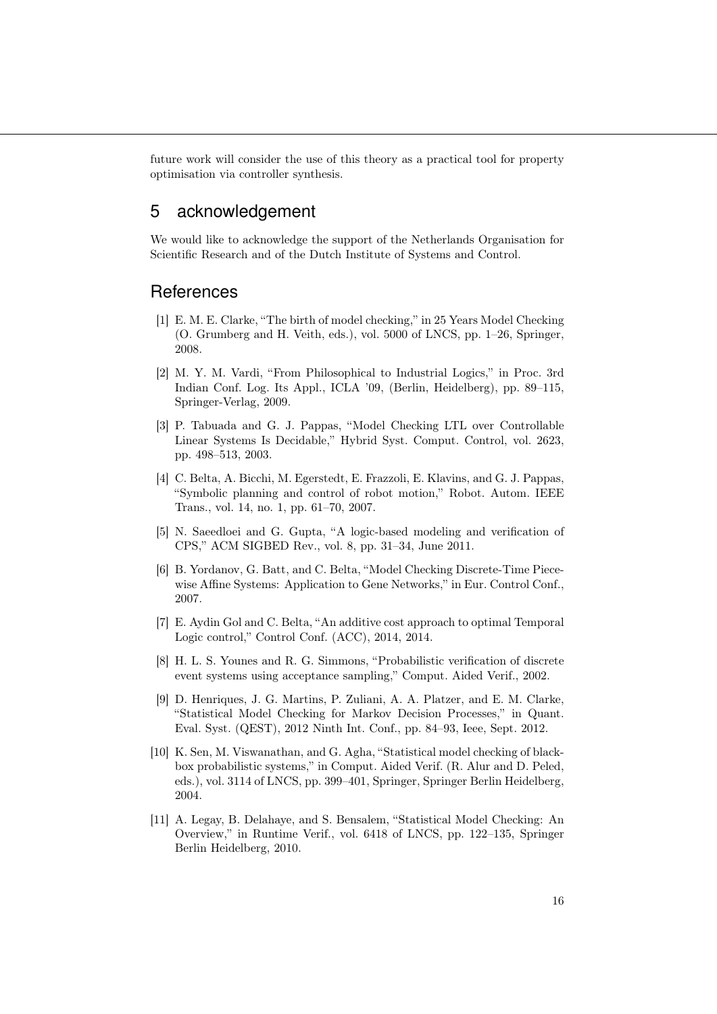future work will consider the use of this theory as a practical tool for property optimisation via controller synthesis.

# 5 acknowledgement

We would like to acknowledge the support of the Netherlands Organisation for Scientific Research and of the Dutch Institute of Systems and Control.

### **References**

- <span id="page-15-0"></span>[1] E. M. E. Clarke, "The birth of model checking," in 25 Years Model Checking (O. Grumberg and H. Veith, eds.), vol. 5000 of LNCS, pp. 1–26, Springer, 2008.
- <span id="page-15-1"></span>[2] M. Y. M. Vardi, "From Philosophical to Industrial Logics," in Proc. 3rd Indian Conf. Log. Its Appl., ICLA '09, (Berlin, Heidelberg), pp. 89–115, Springer-Verlag, 2009.
- <span id="page-15-2"></span>[3] P. Tabuada and G. J. Pappas, "Model Checking LTL over Controllable Linear Systems Is Decidable," Hybrid Syst. Comput. Control, vol. 2623, pp. 498–513, 2003.
- <span id="page-15-3"></span>[4] C. Belta, A. Bicchi, M. Egerstedt, E. Frazzoli, E. Klavins, and G. J. Pappas, "Symbolic planning and control of robot motion," Robot. Autom. IEEE Trans., vol. 14, no. 1, pp. 61–70, 2007.
- <span id="page-15-4"></span>[5] N. Saeedloei and G. Gupta, "A logic-based modeling and verification of CPS," ACM SIGBED Rev., vol. 8, pp. 31–34, June 2011.
- <span id="page-15-5"></span>[6] B. Yordanov, G. Batt, and C. Belta, "Model Checking Discrete-Time Piecewise Affine Systems: Application to Gene Networks," in Eur. Control Conf., 2007.
- <span id="page-15-6"></span>[7] E. Aydin Gol and C. Belta, "An additive cost approach to optimal Temporal Logic control," Control Conf. (ACC), 2014, 2014.
- <span id="page-15-7"></span>[8] H. L. S. Younes and R. G. Simmons, "Probabilistic verification of discrete event systems using acceptance sampling," Comput. Aided Verif., 2002.
- <span id="page-15-8"></span>[9] D. Henriques, J. G. Martins, P. Zuliani, A. A. Platzer, and E. M. Clarke, "Statistical Model Checking for Markov Decision Processes," in Quant. Eval. Syst. (QEST), 2012 Ninth Int. Conf., pp. 84–93, Ieee, Sept. 2012.
- <span id="page-15-9"></span>[10] K. Sen, M. Viswanathan, and G. Agha, "Statistical model checking of blackbox probabilistic systems," in Comput. Aided Verif. (R. Alur and D. Peled, eds.), vol. 3114 of LNCS, pp. 399–401, Springer, Springer Berlin Heidelberg, 2004.
- <span id="page-15-10"></span>[11] A. Legay, B. Delahaye, and S. Bensalem, "Statistical Model Checking: An Overview," in Runtime Verif., vol. 6418 of LNCS, pp. 122–135, Springer Berlin Heidelberg, 2010.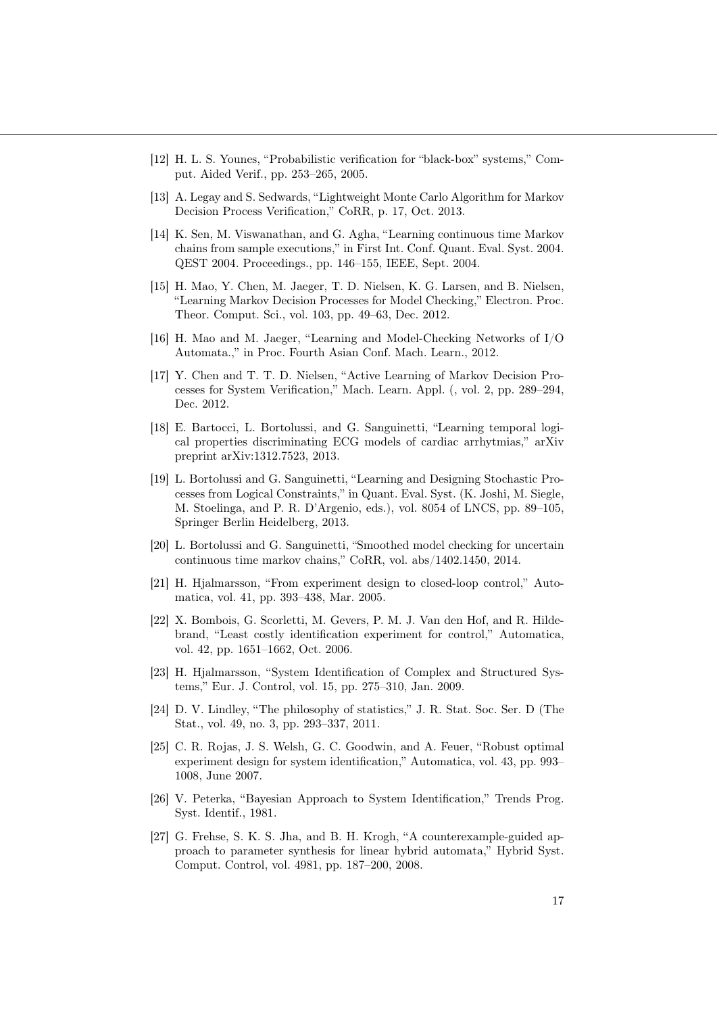- <span id="page-16-5"></span>[12] H. L. S. Younes, "Probabilistic verification for "black-box" systems," Comput. Aided Verif., pp. 253–265, 2005.
- <span id="page-16-6"></span>[13] A. Legay and S. Sedwards, "Lightweight Monte Carlo Algorithm for Markov Decision Process Verification," CoRR, p. 17, Oct. 2013.
- <span id="page-16-7"></span>[14] K. Sen, M. Viswanathan, and G. Agha, "Learning continuous time Markov chains from sample executions," in First Int. Conf. Quant. Eval. Syst. 2004. QEST 2004. Proceedings., pp. 146–155, IEEE, Sept. 2004.
- <span id="page-16-8"></span>[15] H. Mao, Y. Chen, M. Jaeger, T. D. Nielsen, K. G. Larsen, and B. Nielsen, "Learning Markov Decision Processes for Model Checking," Electron. Proc. Theor. Comput. Sci., vol. 103, pp. 49–63, Dec. 2012.
- <span id="page-16-9"></span>[16] H. Mao and M. Jaeger, "Learning and Model-Checking Networks of I/O Automata.," in Proc. Fourth Asian Conf. Mach. Learn., 2012.
- <span id="page-16-10"></span>[17] Y. Chen and T. T. D. Nielsen, "Active Learning of Markov Decision Processes for System Verification," Mach. Learn. Appl. (, vol. 2, pp. 289–294, Dec. 2012.
- <span id="page-16-11"></span>[18] E. Bartocci, L. Bortolussi, and G. Sanguinetti, "Learning temporal logical properties discriminating ECG models of cardiac arrhytmias," arXiv preprint arXiv:1312.7523, 2013.
- <span id="page-16-12"></span>[19] L. Bortolussi and G. Sanguinetti, "Learning and Designing Stochastic Processes from Logical Constraints," in Quant. Eval. Syst. (K. Joshi, M. Siegle, M. Stoelinga, and P. R. D'Argenio, eds.), vol. 8054 of LNCS, pp. 89–105, Springer Berlin Heidelberg, 2013.
- <span id="page-16-13"></span>[20] L. Bortolussi and G. Sanguinetti, "Smoothed model checking for uncertain continuous time markov chains," CoRR, vol. abs/1402.1450, 2014.
- <span id="page-16-0"></span>[21] H. Hjalmarsson, "From experiment design to closed-loop control," Automatica, vol. 41, pp. 393–438, Mar. 2005.
- <span id="page-16-1"></span>[22] X. Bombois, G. Scorletti, M. Gevers, P. M. J. Van den Hof, and R. Hildebrand, "Least costly identification experiment for control," Automatica, vol. 42, pp. 1651–1662, Oct. 2006.
- <span id="page-16-2"></span>[23] H. Hjalmarsson, "System Identification of Complex and Structured Systems," Eur. J. Control, vol. 15, pp. 275–310, Jan. 2009.
- <span id="page-16-3"></span>[24] D. V. Lindley, "The philosophy of statistics," J. R. Stat. Soc. Ser. D (The Stat., vol. 49, no. 3, pp. 293–337, 2011.
- <span id="page-16-4"></span>[25] C. R. Rojas, J. S. Welsh, G. C. Goodwin, and A. Feuer, "Robust optimal experiment design for system identification," Automatica, vol. 43, pp. 993– 1008, June 2007.
- <span id="page-16-14"></span>[26] V. Peterka, "Bayesian Approach to System Identification," Trends Prog. Syst. Identif., 1981.
- <span id="page-16-15"></span>[27] G. Frehse, S. K. S. Jha, and B. H. Krogh, "A counterexample-guided approach to parameter synthesis for linear hybrid automata," Hybrid Syst. Comput. Control, vol. 4981, pp. 187–200, 2008.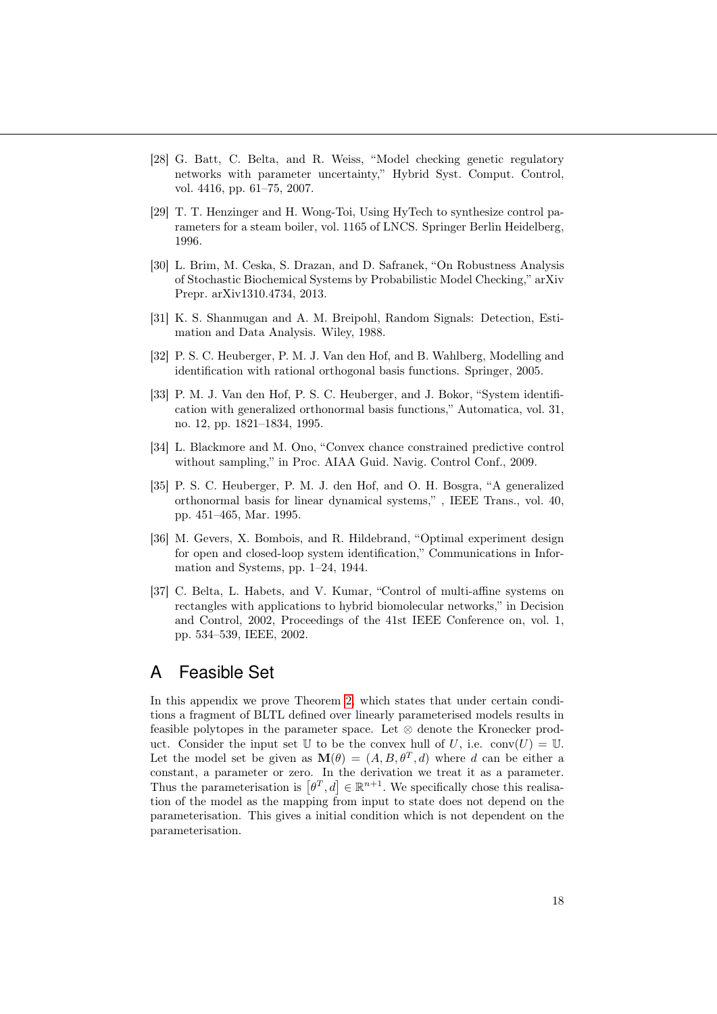- <span id="page-17-0"></span>[28] G. Batt, C. Belta, and R. Weiss, "Model checking genetic regulatory networks with parameter uncertainty," Hybrid Syst. Comput. Control, vol. 4416, pp. 61–75, 2007.
- <span id="page-17-1"></span>[29] T. T. Henzinger and H. Wong-Toi, Using HyTech to synthesize control parameters for a steam boiler, vol. 1165 of LNCS. Springer Berlin Heidelberg, 1996.
- <span id="page-17-2"></span>[30] L. Brim, M. Ceska, S. Drazan, and D. Safranek, "On Robustness Analysis of Stochastic Biochemical Systems by Probabilistic Model Checking," arXiv Prepr. arXiv1310.4734, 2013.
- <span id="page-17-3"></span>[31] K. S. Shanmugan and A. M. Breipohl, Random Signals: Detection, Estimation and Data Analysis. Wiley, 1988.
- <span id="page-17-4"></span>[32] P. S. C. Heuberger, P. M. J. Van den Hof, and B. Wahlberg, Modelling and identification with rational orthogonal basis functions. Springer, 2005.
- <span id="page-17-5"></span>[33] P. M. J. Van den Hof, P. S. C. Heuberger, and J. Bokor, "System identification with generalized orthonormal basis functions," Automatica, vol. 31, no. 12, pp. 1821–1834, 1995.
- <span id="page-17-6"></span>[34] L. Blackmore and M. Ono, "Convex chance constrained predictive control without sampling," in Proc. AIAA Guid. Navig. Control Conf., 2009.
- <span id="page-17-7"></span>[35] P. S. C. Heuberger, P. M. J. den Hof, and O. H. Bosgra, "A generalized orthonormal basis for linear dynamical systems," , IEEE Trans., vol. 40, pp. 451–465, Mar. 1995.
- <span id="page-17-8"></span>[36] M. Gevers, X. Bombois, and R. Hildebrand, "Optimal experiment design for open and closed-loop system identification," Communications in Information and Systems, pp. 1–24, 1944.
- <span id="page-17-9"></span>[37] C. Belta, L. Habets, and V. Kumar, "Control of multi-affine systems on rectangles with applications to hybrid biomolecular networks," in Decision and Control, 2002, Proceedings of the 41st IEEE Conference on, vol. 1, pp. 534–539, IEEE, 2002.

## A Feasible Set

In this appendix we prove Theorem [2,](#page-10-2) which states that under certain conditions a fragment of BLTL defined over linearly parameterised models results in feasible polytopes in the parameter space. Let  $\otimes$  denote the Kronecker product. Consider the input set U to be the convex hull of U, i.e.  $conv(U) = U$ . Let the model set be given as  $\mathbf{M}(\theta) = (A, B, \theta^T, d)$  where d can be either a constant, a parameter or zero. In the derivation we treat it as a parameter. Thus the parameterisation is  $[\theta^T, d] \in \mathbb{R}^{n+1}$ . We specifically chose this realisation of the model as the mapping from input to state does not depend on the parameterisation. This gives a initial condition which is not dependent on the parameterisation.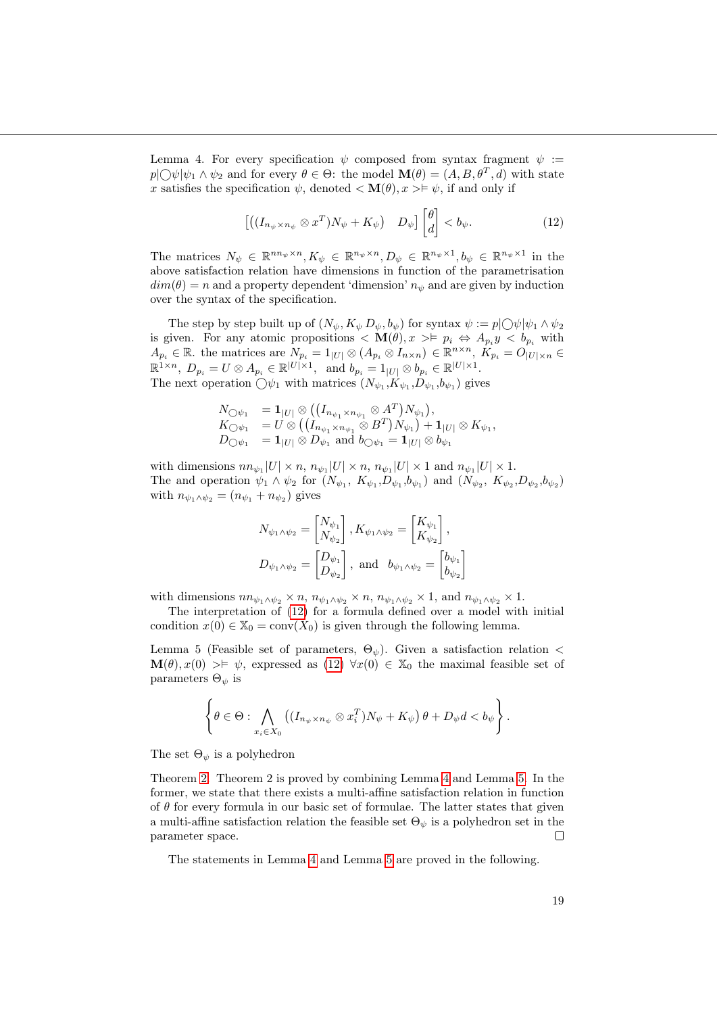<span id="page-18-1"></span>Lemma 4. For every specification  $\psi$  composed from syntax fragment  $\psi$ :  $p[\bigcirc \psi | \psi_1 \wedge \psi_2]$  and for every  $\theta \in \Theta$ : the model  $\mathbf{M}(\theta) = (A, B, \theta^T, d)$  with state x satisfies the specification  $\psi$ , denoted  $\langle \mathbf{M}(\theta), x \rangle \neq \psi$ , if and only if

<span id="page-18-0"></span>
$$
\left[ \left( (I_{n_{\psi} \times n_{\psi}} \otimes x^T) N_{\psi} + K_{\psi} \right) \quad D_{\psi} \right] \begin{bmatrix} \theta \\ d \end{bmatrix} < b_{\psi}.
$$
 (12)

The matrices  $N_{\psi} \in \mathbb{R}^{n_{\psi} \times n}, K_{\psi} \in \mathbb{R}^{n_{\psi} \times n}, D_{\psi} \in \mathbb{R}^{n_{\psi} \times 1}, b_{\psi} \in \mathbb{R}^{n_{\psi} \times 1}$  in the above satisfaction relation have dimensions in function of the parametrisation  $dim(\theta) = n$  and a property dependent 'dimension'  $n_{\psi}$  and are given by induction over the syntax of the specification.

The step by step built up of  $(N_{\psi}, K_{\psi}, D_{\psi}, b_{\psi})$  for syntax  $\psi := p \circ \psi | \psi_1 \wedge \psi_2$ is given. For any atomic propositions  $\langle \mathbf{M}(\theta), x \rangle \models p_i \Leftrightarrow A_{p_i} y \langle b_{p_i} \rangle$  with  $A_{p_i} \in \mathbb{R}$ . the matrices are  $N_{p_i} = 1_{|U|} \otimes (A_{p_i} \otimes I_{n \times n}) \in \mathbb{R}^{n \times n}$ ,  $K_{p_i} = O|U| \times n$  $\mathbb{R}^{1 \times n}$ ,  $D_{p_i} = U \otimes A_{p_i} \in \mathbb{R}^{|U| \times 1}$ , and  $b_{p_i} = 1_{|U|} \otimes b_{p_i} \in \mathbb{R}^{|U| \times 1}$ . The next operation  $\bigcirc \psi_1$  with matrices  $(N_{\psi_1}, K_{\psi_1}, D_{\psi_1}, b_{\psi_1})$  gives

$$
\begin{array}{ll} N_{\bigcirc \psi_1} & = \mathbf{1}_{|U|} \otimes \left( (I_{n_{\psi_1} \times n_{\psi_1}} \otimes A^T) N_{\psi_1} \right), \\ K_{\bigcirc \psi_1} & = U \otimes \left( (I_{n_{\psi_1} \times n_{\psi_1}} \otimes B^T) N_{\psi_1} \right) + \mathbf{1}_{|U|} \otimes K_{\psi_1}, \\ D_{\bigcirc \psi_1} & = \mathbf{1}_{|U|} \otimes D_{\psi_1} \text{ and } b_{\bigcirc \psi_1} = \mathbf{1}_{|U|} \otimes b_{\psi_1} \end{array}
$$

with dimensions  $nn_{\psi_1}|U| \times n$ ,  $n_{\psi_1}|U| \times n$ ,  $n_{\psi_1}|U| \times 1$  and  $n_{\psi_1}|U| \times 1$ . The and operation  $\psi_1 \wedge \psi_2$  for  $(N_{\psi_1}, K_{\psi_1}, D_{\psi_1}, b_{\psi_1})$  and  $(N_{\psi_2}, K_{\psi_2}, D_{\psi_2}, b_{\psi_2})$ with  $n_{\psi_1 \wedge \psi_2} = (n_{\psi_1} + n_{\psi_2})$  gives

$$
N_{\psi_1 \wedge \psi_2} = \begin{bmatrix} N_{\psi_1} \\ N_{\psi_2} \end{bmatrix}, K_{\psi_1 \wedge \psi_2} = \begin{bmatrix} K_{\psi_1} \\ K_{\psi_2} \end{bmatrix},
$$
  

$$
D_{\psi_1 \wedge \psi_2} = \begin{bmatrix} D_{\psi_1} \\ D_{\psi_2} \end{bmatrix}, \text{ and } b_{\psi_1 \wedge \psi_2} = \begin{bmatrix} b_{\psi_1} \\ b_{\psi_2} \end{bmatrix}
$$

with dimensions  $nn_{\psi_1\wedge\psi_2}\times n$ ,  $n_{\psi_1\wedge\psi_2}\times n$ ,  $n_{\psi_1\wedge\psi_2}\times 1$ , and  $n_{\psi_1\wedge\psi_2}\times 1$ .

The interpretation of [\(12\)](#page-18-0) for a formula defined over a model with initial condition  $x(0) \in \mathbb{X}_0 = \text{conv}(X_0)$  is given through the following lemma.

<span id="page-18-2"></span>Lemma 5 (Feasible set of parameters,  $\Theta_{\psi}$ ). Given a satisfaction relation <  $\mathbf{M}(\theta), x(0) > \models \psi$ , expressed as [\(12\)](#page-18-0)  $\forall x(0) \in \mathbb{X}_0$  the maximal feasible set of parameters  $\Theta_{\psi}$  is

$$
\left\{\theta\in\Theta:\bigwedge_{x_i\in X_0}\left((I_{n_{\psi}\times n_{\psi}}\otimes x_i^T)N_{\psi}+K_{\psi}\right)\theta+D_{\psi}d
$$

The set  $\Theta_{\psi}$  is a polyhedron

Theorem [2.](#page-10-2) Theorem 2 is proved by combining Lemma [4](#page-18-1) and Lemma [5.](#page-18-2) In the former, we state that there exists a multi-affine satisfaction relation in function of  $\theta$  for every formula in our basic set of formulae. The latter states that given a multi-affine satisfaction relation the feasible set  $\Theta_{\psi}$  is a polyhedron set in the parameter space.  $\Box$ 

The statements in Lemma [4](#page-18-1) and Lemma [5](#page-18-2) are proved in the following.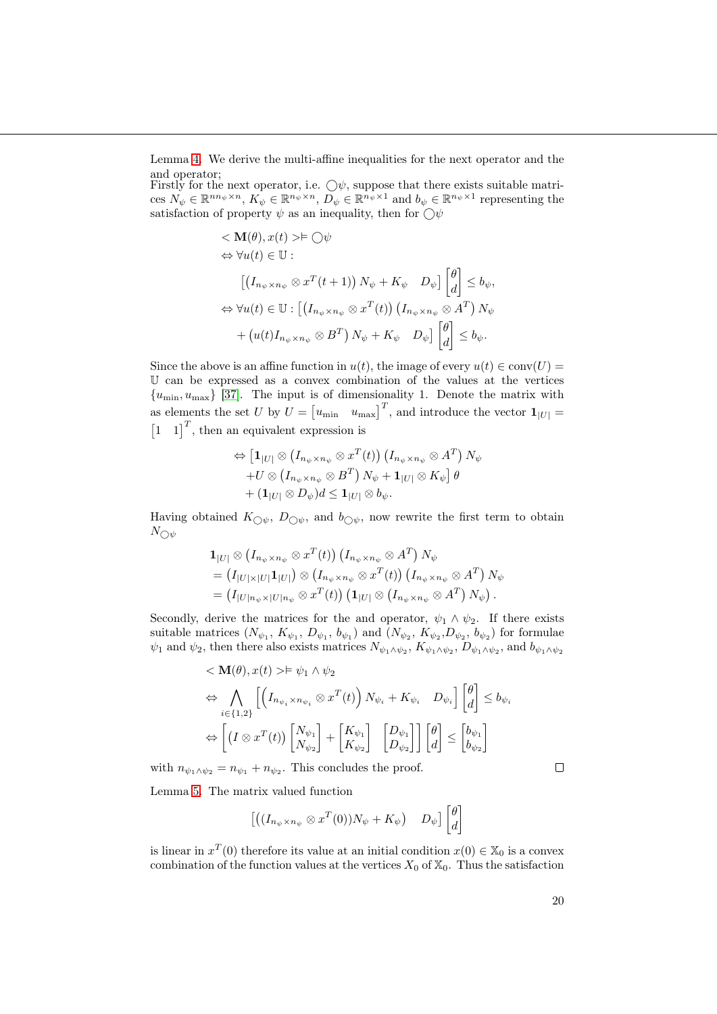Lemma [4.](#page-18-1) We derive the multi-affine inequalities for the next operator and the and operator;

Firstly for the next operator, i.e.  $\bigcirc \psi$ , suppose that there exists suitable matrices  $N_{\psi} \in \mathbb{R}^{n_{\psi} \times n}$ ,  $K_{\psi} \in \mathbb{R}^{n_{\psi} \times n}$ ,  $D_{\psi} \in \mathbb{R}^{n_{\psi} \times 1}$  and  $b_{\psi} \in \mathbb{R}^{n_{\psi} \times 1}$  representing the satisfaction of property  $\psi$  as an inequality, then for  $\bigcirc \psi$ 

$$
\langle \mathbf{M}(\theta), x(t) \rangle \models \bigcirc \psi
$$
  
\n
$$
\Leftrightarrow \forall u(t) \in \mathbb{U} : \left[ (I_{n_{\psi} \times n_{\psi}} \otimes x^{T}(t+1)) N_{\psi} + K_{\psi} D_{\psi} \right] \begin{bmatrix} \theta \\ d \end{bmatrix} \leq b_{\psi},
$$
  
\n
$$
\Leftrightarrow \forall u(t) \in \mathbb{U} : \left[ (I_{n_{\psi} \times n_{\psi}} \otimes x^{T}(t)) (I_{n_{\psi} \times n_{\psi}} \otimes A^{T}) N_{\psi} + (u(t) I_{n_{\psi} \times n_{\psi}} \otimes B^{T}) N_{\psi} + K_{\psi} D_{\psi} \right] \begin{bmatrix} \theta \\ d \end{bmatrix} \leq b_{\psi}.
$$

Since the above is an affine function in  $u(t)$ , the image of every  $u(t) \in \text{conv}(U)$ U can be expressed as a convex combination of the values at the vertices  ${u_{\min}, u_{\max}}$  [\[37\]](#page-17-9). The input is of dimensionality 1. Denote the matrix with as elements the set U by  $U = \begin{bmatrix} u_{\text{min}} & u_{\text{max}} \end{bmatrix}^T$ , and introduce the vector  $\mathbf{1}_{|U|} =$  $\begin{bmatrix} 1 & 1 \end{bmatrix}^T$ , then an equivalent expression is

$$
\Leftrightarrow \left[\mathbf{1}_{|U|} \otimes (I_{n_{\psi} \times n_{\psi}} \otimes x^{T}(t)) (I_{n_{\psi} \times n_{\psi}} \otimes A^{T}) N_{\psi}\right. \\ \left. + U \otimes (I_{n_{\psi} \times n_{\psi}} \otimes B^{T}) N_{\psi} + \mathbf{1}_{|U|} \otimes K_{\psi}\right] \theta \\ + (\mathbf{1}_{|U|} \otimes D_{\psi}) d \leq \mathbf{1}_{|U|} \otimes b_{\psi}.
$$

Having obtained  $K_{\bigcirc \psi}$ ,  $D_{\bigcirc \psi}$ , and  $b_{\bigcirc \psi}$ , now rewrite the first term to obtain  $N_{\bigcirc \psi}$ 

$$
\begin{split} & \mathbf{1}_{|U|} \otimes \left( I_{n_{\psi} \times n_{\psi}} \otimes x^{T}(t) \right) \left( I_{n_{\psi} \times n_{\psi}} \otimes A^{T} \right) N_{\psi} \\ & = \left( I_{|U| \times |U|} \mathbf{1}_{|U|} \right) \otimes \left( I_{n_{\psi} \times n_{\psi}} \otimes x^{T}(t) \right) \left( I_{n_{\psi} \times n_{\psi}} \otimes A^{T} \right) N_{\psi} \\ & = \left( I_{|U|n_{\psi} \times |U|n_{\psi}} \otimes x^{T}(t) \right) \left( \mathbf{1}_{|U|} \otimes \left( I_{n_{\psi} \times n_{\psi}} \otimes A^{T} \right) N_{\psi} \right). \end{split}
$$

Secondly, derive the matrices for the and operator,  $\psi_1 \wedge \psi_2$ . If there exists suitable matrices  $(N_{\psi_1}, K_{\psi_1}, D_{\psi_1}, b_{\psi_1})$  and  $(N_{\psi_2}, K_{\psi_2}, D_{\psi_2}, b_{\psi_2})$  for formulae  $\psi_1$  and  $\psi_2$ , then there also exists matrices  $N_{\psi_1\wedge\psi_2}$ ,  $K_{\psi_1\wedge\psi_2}$ ,  $D_{\psi_1\wedge\psi_2}$ , and  $b_{\psi_1\wedge\psi_2}$ 

$$
\langle \mathbf{M}(\theta), x(t) \rangle \models \psi_1 \land \psi_2
$$
  
\n
$$
\Leftrightarrow \bigwedge_{i \in \{1,2\}} \left[ \left( I_{n_{\psi_i} \times n_{\psi_i}} \otimes x^T(t) \right) N_{\psi_i} + K_{\psi_i} \quad D_{\psi_i} \right] \begin{bmatrix} \theta \\ d \end{bmatrix} \le b_{\psi_i}
$$
  
\n
$$
\Leftrightarrow \left[ \left( I \otimes x^T(t) \right) \begin{bmatrix} N_{\psi_1} \\ N_{\psi_2} \end{bmatrix} + \begin{bmatrix} K_{\psi_1} \\ K_{\psi_2} \end{bmatrix} \begin{bmatrix} D_{\psi_1} \\ D_{\psi_2} \end{bmatrix} \right] \begin{bmatrix} \theta \\ d \end{bmatrix} \le \begin{bmatrix} b_{\psi_1} \\ b_{\psi_2} \end{bmatrix}
$$

with  $n_{\psi_1 \wedge \psi_2} = n_{\psi_1} + n_{\psi_2}$ . This concludes the proof.

Lemma [5.](#page-18-2) The matrix valued function

$$
\left[ \left( (I_{n_{\psi} \times n_{\psi}} \otimes x^{T}(0)) N_{\psi} + K_{\psi} \right) \quad D_{\psi} \right] \begin{bmatrix} \theta \\ d \end{bmatrix}
$$

is linear in  $x^T(0)$  therefore its value at an initial condition  $x(0) \in \mathbb{X}_0$  is a convex combination of the function values at the vertices  $X_0$  of  $\mathbb{X}_0$ . Thus the satisfaction

 $\Box$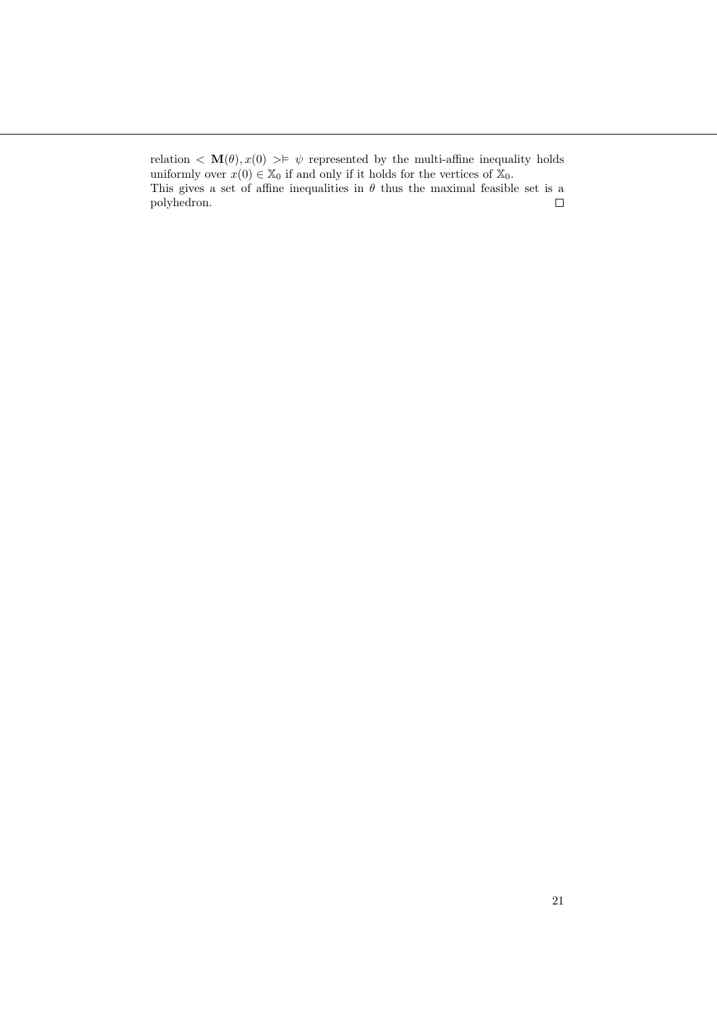relation  $\langle \mathbf{M}(\theta), x(0) \rangle \neq \psi$  represented by the multi-affine inequality holds uniformly over  $x(0) \in \mathbb{X}_0$  if and only if it holds for the vertices of  $\mathbb{X}_0$ . This gives a set of affine inequalities in  $\theta$  thus the maximal feasible set is a polyhedron.  $\Box$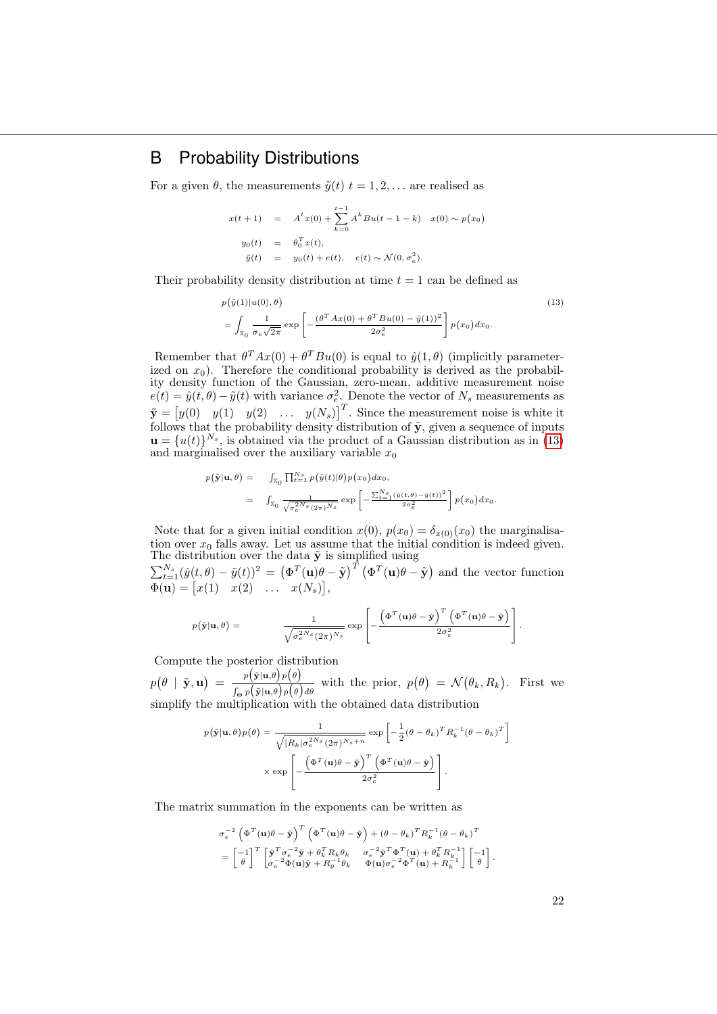## B Probability Distributions

For a given  $\theta$ , the measurements  $\tilde{y}(t)$   $t = 1, 2, \ldots$  are realised as

$$
x(t+1) = At x(0) + \sum_{k=0}^{t-1} Ak Bu(t - 1 - k) x(0) \sim p(x_0)
$$
  

$$
y_0(t) = \theta_0^T x(t),
$$
  

$$
\tilde{y}(t) = y_0(t) + e(t), e(t) \sim \mathcal{N}(0, \sigma_e^2).
$$

Their probability density distribution at time  $t = 1$  can be defined as

<span id="page-21-0"></span>
$$
p(\tilde{y}(1)|u(0),\theta) = \int_{\mathbb{X}_0} \frac{1}{\sigma_e \sqrt{2\pi}} \exp\left[-\frac{(\theta^T A x(0) + \theta^T B u(0) - \tilde{y}(1))^2}{2\sigma_e^2}\right] p(x_0) dx_0.
$$
\n(13)

Remember that  $\theta^T Ax(0) + \theta^T Bu(0)$  is equal to  $\hat{y}(1,\theta)$  (implicitly parameterized on  $x_0$ ). Therefore the conditional probability is derived as the probability density function of the Gaussian, zero-mean, additive measurement noise  $e(t) = \hat{y}(t, \theta) - \tilde{y}(t)$  with variance  $\sigma_e^2$ . Denote the vector of  $N_s$  measurements as  $\tilde{\mathbf{y}} = \begin{bmatrix} y(0) & y(1) & y(2) & \dots & y(N_s) \end{bmatrix}^T$ . Since the measurement noise is white it follows that the probability density distribution of  $\tilde{\mathbf{y}}$ , given a sequence of inputs  $\mathbf{u} = \{u(t)\}^{N_s}$ , is obtained via the product of a Gaussian distribution as in [\(13\)](#page-21-0) and marginalised over the auxiliary variable  $x_0$ 

$$
p(\tilde{\mathbf{y}}|\mathbf{u}, \theta) = \int_{\mathbb{X}_0} \prod_{t=1}^{N_s} p(\tilde{y}(t)|\theta) p(x_0) dx_0,
$$
  

$$
= \int_{\mathbb{X}_0} \frac{1}{\sqrt{\sigma_e^{2N_s}(2\pi)^{N_s}}} \exp\left[-\frac{\sum_{t=1}^{N_s} (\hat{y}(t, \theta) - \tilde{y}(t))^2}{2\sigma_e^2}\right] p(x_0) dx_0.
$$

Note that for a given initial condition  $x(0)$ ,  $p(x_0) = \delta_{x(0)}(x_0)$  the marginalisation over  $x_0$  falls away. Let us assume that the initial condition is indeed given. The distribution over the data  $\tilde{y}$  is simplified using

 $\sum_{t=1}^{N_s} (\hat{y}(t, \theta) - \tilde{y}(t))^2 = (\Phi^T(\mathbf{u})\theta - \tilde{\mathbf{y}})^T (\Phi^T(\mathbf{u})\theta - \tilde{\mathbf{y}})$  and the vector function  $\Phi(\mathbf{u}) = [x(1) \quad x(2) \quad \dots \quad x(N_s)],$ 

$$
p(\tilde{\mathbf{y}}|\mathbf{u},\theta) = \frac{1}{\sqrt{\sigma_e^{2N_s}(2\pi)^{N_s}}} \exp \left[ -\frac{\left(\Phi^T(\mathbf{u})\theta - \tilde{\mathbf{y}}\right)^T \left(\Phi^T(\mathbf{u})\theta - \tilde{\mathbf{y}}\right)}{2\sigma_e^2} \right].
$$

Compute the posterior distribution

 $p(\theta \mid \tilde{\mathbf{y}}, \mathbf{u}) = \frac{p(\tilde{\mathbf{y}}|\mathbf{u}, \theta)p(\theta)}{p(\theta \mid \tilde{\mathbf{y}}, \mathbf{u})}$  $\frac{p(\mathbf{y}|\mathbf{u},\theta)p(\theta)}{\int_{\Theta} p(\mathbf{\tilde{y}}|\mathbf{u},\theta)p(\theta)d\theta}$  with the prior,  $p(\theta) = \mathcal{N}(\theta_k, R_k)$ . First we simplify the multiplication with the obtained data distribution

$$
p(\tilde{\mathbf{y}}|\mathbf{u},\theta)p(\theta) = \frac{1}{\sqrt{|R_k|\sigma_e^{2Ns}(2\pi)^{N_s+n}}} \exp\left[-\frac{1}{2}(\theta-\theta_k)^T R_k^{-1}(\theta-\theta_k)^T\right] \times \exp\left[-\frac{\left(\Phi^T(\mathbf{u})\theta-\tilde{\mathbf{y}}\right)^T \left(\Phi^T(\mathbf{u})\theta-\tilde{\mathbf{y}}\right)}{2\sigma_e^2}\right].
$$

The matrix summation in the exponents can be written as

$$
\begin{split} &\sigma_e^{-2} \left( \Phi^T(\mathbf{u}) \theta - \tilde{\mathbf{y}} \right)^T \left( \Phi^T(\mathbf{u}) \theta - \tilde{\mathbf{y}} \right) + \left( \theta - \theta_k \right)^T R_k^{-1} \left( \theta - \theta_k \right)^T \\ & = \begin{bmatrix} -1 \\ \theta \end{bmatrix}^T \begin{bmatrix} \tilde{\mathbf{y}}^T \sigma_e^{-2} \tilde{\mathbf{y}} + \theta_k^T R_k \theta_k & \sigma_e^{-2} \tilde{\mathbf{y}}^T \Phi^T(\mathbf{u}) + \theta_k^T R_k^{-1} \\ \sigma_e^{-2} \Phi(\mathbf{u}) \tilde{\mathbf{y}} + R_\theta^{-1} \theta_k & \Phi(\mathbf{u}) \sigma_e^{-2} \Phi^T(\mathbf{u}) + R_k^{-1} \end{bmatrix} \begin{bmatrix} -1 \\ \theta \end{bmatrix}. \end{split}
$$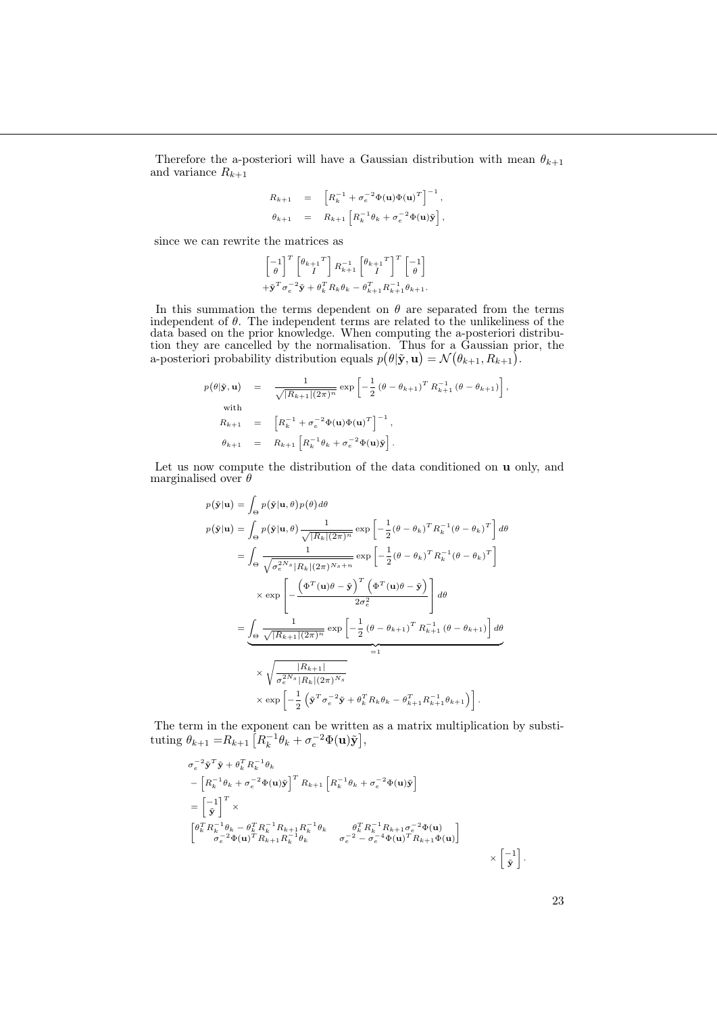Therefore the a-posteriori will have a Gaussian distribution with mean  $\theta_{k+1}$ and variance  $R_{k+1}$ 

$$
R_{k+1} = \left[ R_k^{-1} + \sigma_e^{-2} \Phi(\mathbf{u}) \Phi(\mathbf{u})^T \right]^{-1},
$$
  

$$
\theta_{k+1} = R_{k+1} \left[ R_k^{-1} \theta_k + \sigma_e^{-2} \Phi(\mathbf{u}) \tilde{\mathbf{y}} \right],
$$

since we can rewrite the matrices as

$$
\begin{bmatrix} -1 \\ \theta \end{bmatrix}^T \begin{bmatrix} \theta_{k+1} \\ I \end{bmatrix} R_{k+1}^{-1} \begin{bmatrix} \theta_{k+1} \\ I \end{bmatrix}^T \begin{bmatrix} -1 \\ \theta \end{bmatrix}
$$
  
+ $\tilde{\mathbf{y}}^T \sigma_e^{-2} \tilde{\mathbf{y}} + \theta_k^T R_k \theta_k - \theta_{k+1}^T R_{k+1}^{-1} \theta_{k+1}.$ 

In this summation the terms dependent on  $\theta$  are separated from the terms independent of  $\theta$ . The independent terms are related to the unlikeliness of the data based on the prior knowledge. When computing the a-posteriori distribution they are cancelled by the normalisation. Thus for a Gaussian prior, the a-posteriori probability distribution equals  $p(\theta|\tilde{\mathbf{y}}, \mathbf{u}) = \mathcal{N}(\theta_{k+1}, R_{k+1}).$ 

$$
p(\theta | \tilde{\mathbf{y}}, \mathbf{u}) = \frac{1}{\sqrt{|R_{k+1}| (2\pi)^n}} \exp \left[ -\frac{1}{2} (\theta - \theta_{k+1})^T R_{k+1}^{-1} (\theta - \theta_{k+1}) \right],
$$
  
with  

$$
R_{k+1} = \left[ R_k^{-1} + \sigma_e^{-2} \Phi(\mathbf{u}) \Phi(\mathbf{u})^T \right]^{-1},
$$

$$
\theta_{k+1} = R_{k+1} \left[ R_k^{-1} \theta_k + \sigma_e^{-2} \Phi(\mathbf{u}) \tilde{\mathbf{y}} \right].
$$

Let us now compute the distribution of the data conditioned on u only, and marginalised over  $\theta$ 

$$
p(\tilde{\mathbf{y}}|\mathbf{u}) = \int_{\Theta} p(\tilde{\mathbf{y}}|\mathbf{u}, \theta) p(\theta) d\theta
$$
  
\n
$$
p(\tilde{\mathbf{y}}|\mathbf{u}) = \int_{\Theta} p(\tilde{\mathbf{y}}|\mathbf{u}, \theta) \frac{1}{\sqrt{|R_k|(2\pi)^n}} \exp\left[-\frac{1}{2}(\theta - \theta_k)^T R_k^{-1}(\theta - \theta_k)^T\right] d\theta
$$
  
\n
$$
= \int_{\Theta} \frac{1}{\sqrt{\sigma_e^{2Ns}|R_k|(2\pi)^{N_s+n}}} \exp\left[-\frac{1}{2}(\theta - \theta_k)^T R_k^{-1}(\theta - \theta_k)^T\right]
$$
  
\n
$$
\times \exp\left[-\frac{\left(\Phi^T(\mathbf{u})\theta - \tilde{\mathbf{y}}\right)^T \left(\Phi^T(\mathbf{u})\theta - \tilde{\mathbf{y}}\right)}{2\sigma_e^2}\right] d\theta
$$
  
\n
$$
= \int_{\Theta} \frac{1}{\sqrt{|R_{k+1}|(2\pi)^n}} \exp\left[-\frac{1}{2}(\theta - \theta_{k+1})^T R_{k+1}^{-1}(\theta - \theta_{k+1})\right] d\theta
$$
  
\n
$$
= 1
$$
  
\n
$$
\times \sqrt{\frac{|R_{k+1}|}{\sigma_e^{2Ns}|R_k|(2\pi)^{N_s}}}
$$
  
\n
$$
\times \exp\left[-\frac{1}{2}(\tilde{\mathbf{y}}^T \sigma_e^{-2} \tilde{\mathbf{y}} + \theta_k^T R_k \theta_k - \theta_{k+1}^T R_{k+1}^{-1} \theta_{k+1})\right].
$$

The term in the exponent can be written as a matrix multiplication by substituting  $\theta_{k+1} = R_{k+1} \left[ R_k^{-1} \theta_k + \sigma_e^{-2} \Phi(\mathbf{u}) \tilde{\mathbf{y}} \right],$ 

$$
\sigma_e^{-2} \tilde{\mathbf{y}}^T \tilde{\mathbf{y}} + \theta_k^T R_k^{-1} \theta_k
$$
\n
$$
- \left[ R_k^{-1} \theta_k + \sigma_e^{-2} \Phi(\mathbf{u}) \tilde{\mathbf{y}} \right]^T R_{k+1} \left[ R_k^{-1} \theta_k + \sigma_e^{-2} \Phi(\mathbf{u}) \tilde{\mathbf{y}} \right]
$$
\n
$$
= \left[ \begin{matrix} -1 \\ \tilde{\mathbf{y}} \end{matrix} \right]^T \times
$$
\n
$$
\begin{bmatrix} \theta_k^T R_k^{-1} \theta_k - \theta_k^T R_k^{-1} R_{k+1} R_k^{-1} \theta_k & \theta_k^T R_k^{-1} R_{k+1} \sigma_e^{-2} \Phi(\mathbf{u}) \\ \sigma_e^{-2} \Phi(\mathbf{u})^T R_{k+1} R_k^{-1} \theta_k & \sigma_e^{-2} - \sigma_e^{-4} \Phi(\mathbf{u})^T R_{k+1} \Phi(\mathbf{u}) \end{bmatrix}
$$
\n
$$
\times \left[ \begin{matrix} -1 \\ \tilde{\mathbf{y}} \end{matrix} \right]
$$

.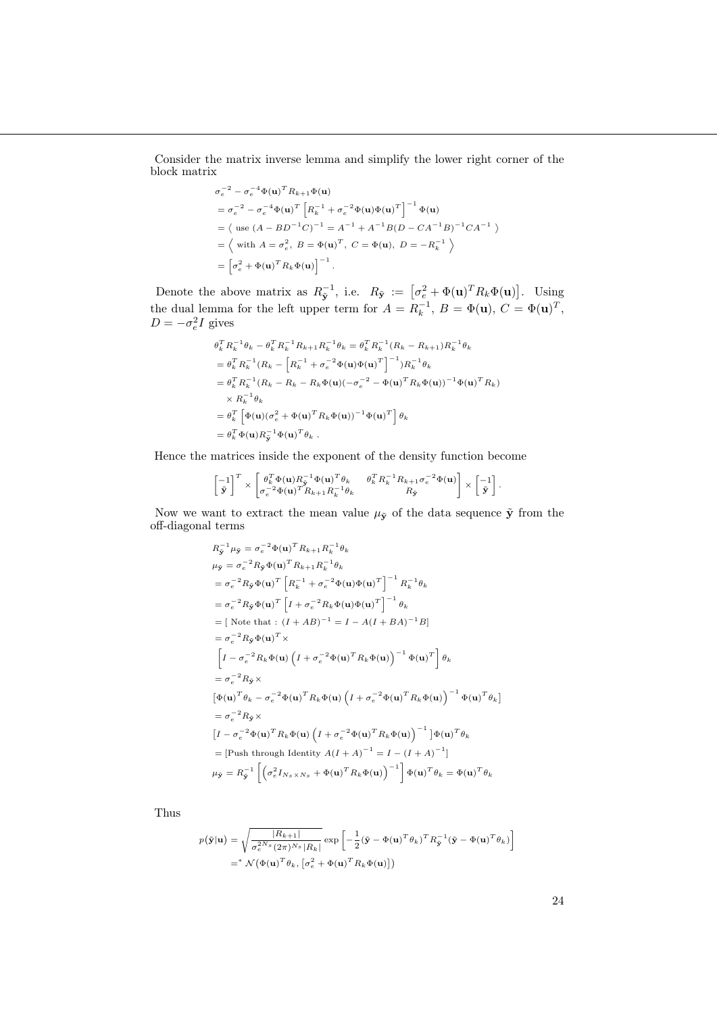Consider the matrix inverse lemma and simplify the lower right corner of the block matrix

$$
\sigma_e^{-2} - \sigma_e^{-4} \Phi(\mathbf{u})^T R_{k+1} \Phi(\mathbf{u})
$$
  
=  $\sigma_e^{-2} - \sigma_e^{-4} \Phi(\mathbf{u})^T \left[ R_k^{-1} + \sigma_e^{-2} \Phi(\mathbf{u}) \Phi(\mathbf{u})^T \right]^{-1} \Phi(\mathbf{u})$   
=  $\langle$  use  $(A - BD^{-1}C)^{-1} = A^{-1} + A^{-1}B(D - CA^{-1}B)^{-1}CA^{-1}$   $\rangle$   
=  $\langle$  with  $A = \sigma_e^2$ ,  $B = \Phi(\mathbf{u})^T$ ,  $C = \Phi(\mathbf{u})$ ,  $D = -R_k^{-1}$   $\rangle$   
=  $\left[ \sigma_e^2 + \Phi(\mathbf{u})^T R_k \Phi(\mathbf{u}) \right]^{-1}$ .

Denote the above matrix as  $R_{\tilde{\mathbf{y}}}^{-1}$ , i.e.  $R_{\tilde{\mathbf{y}}} := [\sigma_e^2 + \Phi(\mathbf{u})^T R_k \Phi(\mathbf{u})]$ . Using the dual lemma for the left upper term for  $A = R_k^{-1}$ ,  $B = \Phi(\mathbf{u})$ ,  $C = \Phi(\mathbf{u})^T$ ,  $D = -\sigma_e^2 I$  gives

$$
\theta_k^T R_k^{-1} \theta_k - \theta_k^T R_k^{-1} R_{k+1} R_k^{-1} \theta_k = \theta_k^T R_k^{-1} (R_k - R_{k+1}) R_k^{-1} \theta_k \n= \theta_k^T R_k^{-1} (R_k - \left[ R_k^{-1} + \sigma_e^{-2} \Phi(\mathbf{u}) \Phi(\mathbf{u})^T \right]^{-1}) R_k^{-1} \theta_k \n= \theta_k^T R_k^{-1} (R_k - R_k - R_k \Phi(\mathbf{u}) (-\sigma_e^{-2} - \Phi(\mathbf{u})^T R_k \Phi(\mathbf{u}))^{-1} \Phi(\mathbf{u})^T R_k) \n\times R_k^{-1} \theta_k \n= \theta_k^T \left[ \Phi(\mathbf{u}) (\sigma_e^2 + \Phi(\mathbf{u})^T R_k \Phi(\mathbf{u}))^{-1} \Phi(\mathbf{u})^T \right] \theta_k \n= \theta_k^T \Phi(\mathbf{u}) R_{\mathbf{y}}^{-1} \Phi(\mathbf{u})^T \theta_k .
$$

Hence the matrices inside the exponent of the density function become

$$
\begin{bmatrix} -1 \\ \tilde{\mathbf{y}} \end{bmatrix}^T \times \begin{bmatrix} \theta_k^T \Phi(\mathbf{u}) R_{\tilde{\mathbf{y}}}^{-1} \Phi(\mathbf{u})^T \theta_k & \theta_k^T R_k^{-1} R_{k+1} \sigma_e^{-2} \Phi(\mathbf{u}) \\ \tilde{\mathbf{y}} \end{bmatrix} \times \begin{bmatrix} -1 \\ \tilde{\mathbf{y}} \end{bmatrix}.
$$

Now we want to extract the mean value  $\mu_{\tilde{\mathbf{y}}}$  of the data sequence  $\tilde{\mathbf{y}}$  from the off-diagonal terms

$$
R_{\mathbf{y}}^{-1} \mu_{\mathbf{y}} = \sigma_e^{-2} \Phi(\mathbf{u})^T R_{k+1} R_k^{-1} \theta_k
$$
  
\n
$$
\mu_{\mathbf{y}} = \sigma_e^{-2} R_{\mathbf{y}} \Phi(\mathbf{u})^T R_{k+1} R_k^{-1} \theta_k
$$
  
\n
$$
= \sigma_e^{-2} R_{\mathbf{y}} \Phi(\mathbf{u})^T \left[ R_k^{-1} + \sigma_e^{-2} \Phi(\mathbf{u}) \Phi(\mathbf{u})^T \right]^{-1} R_k^{-1} \theta_k
$$
  
\n
$$
= \sigma_e^{-2} R_{\mathbf{y}} \Phi(\mathbf{u})^T \left[ I + \sigma_e^{-2} R_k \Phi(\mathbf{u}) \Phi(\mathbf{u})^T \right]^{-1} \theta_k
$$
  
\n
$$
= [\text{Note that}: (I + AB)^{-1} = I - A(I + BA)^{-1} B]
$$
  
\n
$$
= \sigma_e^{-2} R_{\mathbf{y}} \Phi(\mathbf{u})^T \times
$$
  
\n
$$
\left[ I - \sigma_e^{-2} R_k \Phi(\mathbf{u}) \left( I + \sigma_e^{-2} \Phi(\mathbf{u})^T R_k \Phi(\mathbf{u}) \right)^{-1} \Phi(\mathbf{u})^T \right] \theta_k
$$
  
\n
$$
= \sigma_e^{-2} R_{\mathbf{y}} \times
$$
  
\n
$$
\left[ \Phi(\mathbf{u})^T \theta_k - \sigma_e^{-2} \Phi(\mathbf{u})^T R_k \Phi(\mathbf{u}) \left( I + \sigma_e^{-2} \Phi(\mathbf{u})^T R_k \Phi(\mathbf{u}) \right)^{-1} \Phi(\mathbf{u})^T \theta_k \right]
$$
  
\n
$$
= \sigma_e^{-2} R_{\mathbf{y}} \times
$$
  
\n
$$
\left[ I - \sigma_e^{-2} \Phi(\mathbf{u})^T R_k \Phi(\mathbf{u}) \left( I + \sigma_e^{-2} \Phi(\mathbf{u})^T R_k \Phi(\mathbf{u}) \right)^{-1} \right] \Phi(\mathbf{u})^T \theta_k
$$
  
\n
$$
= [\text{Push through Identity } A(I + A)^{-1} = I - (I + A)^{-1}]
$$
  
\n
$$
\mu_{\mathbf{y}} = R_{\mathbf{
$$

Thus

$$
p(\tilde{\mathbf{y}}|\mathbf{u}) = \sqrt{\frac{|R_{k+1}|}{\sigma_e^{2N_s}(2\pi)^{N_s}|R_k|}} \exp\left[-\frac{1}{2}(\tilde{\mathbf{y}} - \Phi(\mathbf{u})^T \theta_k)^T R_{\tilde{\mathbf{y}}}^{-1} (\tilde{\mathbf{y}} - \Phi(\mathbf{u})^T \theta_k)\right]
$$
  
= \*  $\mathcal{N}(\Phi(\mathbf{u})^T \theta_k, [\sigma_e^2 + \Phi(\mathbf{u})^T R_k \Phi(\mathbf{u})])$